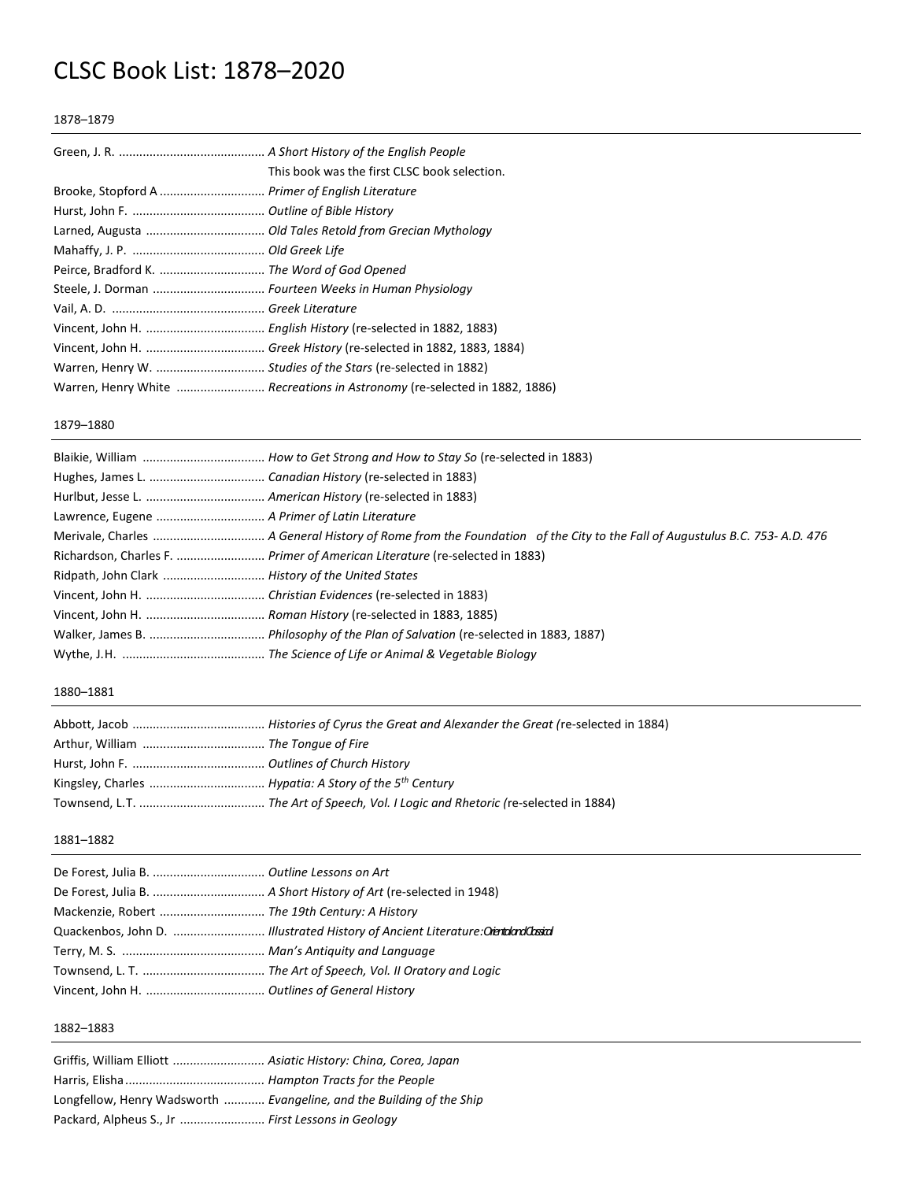# CLSC Book List: 1878–2020

#### 1878–1879

|                                                       | This book was the first CLSC book selection.                              |
|-------------------------------------------------------|---------------------------------------------------------------------------|
|                                                       |                                                                           |
|                                                       |                                                                           |
|                                                       |                                                                           |
|                                                       |                                                                           |
|                                                       |                                                                           |
| Steele, J. Dorman  Fourteen Weeks in Human Physiology |                                                                           |
|                                                       |                                                                           |
|                                                       |                                                                           |
|                                                       |                                                                           |
|                                                       |                                                                           |
|                                                       | Warren, Henry White  Recreations in Astronomy (re-selected in 1882, 1886) |

#### 1879–1880

| Richardson, Charles F.  Primer of American Literature (re-selected in 1883) |
|-----------------------------------------------------------------------------|
|                                                                             |
|                                                                             |
|                                                                             |
|                                                                             |
|                                                                             |

## 1880–1881

#### 1881–1882

| Griffis, William Elliott  Asiatic History: China, Corea, Japan |                                                                       |
|----------------------------------------------------------------|-----------------------------------------------------------------------|
|                                                                |                                                                       |
|                                                                | Longfellow, Henry Wadsworth  Evangeline, and the Building of the Ship |
| Packard, Alpheus S., Jr  First Lessons in Geology              |                                                                       |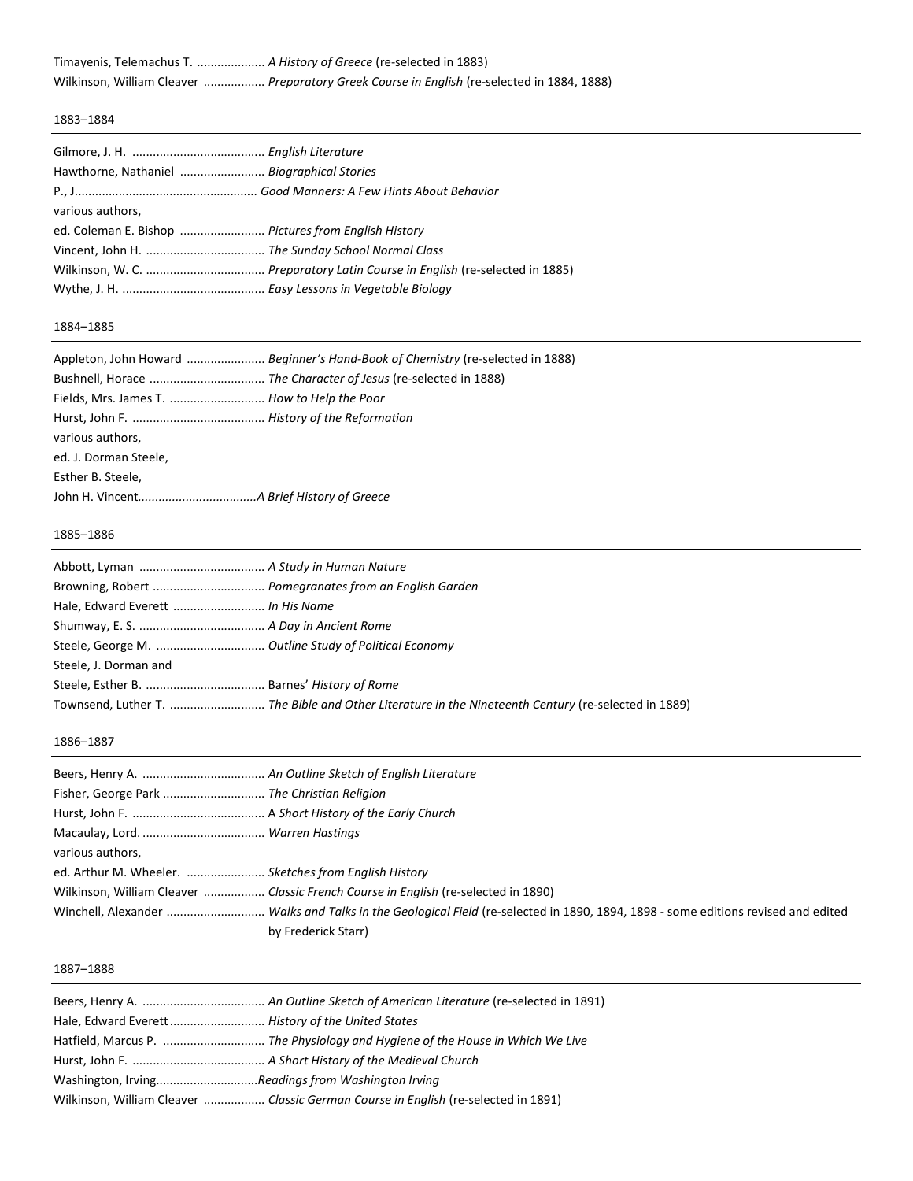Timayenis, Telemachus T. .................... A History of Greece (re-selected in 1883) Wilkinson, William Cleaver .................. Preparatory Greek Course in English (re-selected in 1884, 1888)

#### 1883–1884

| Hawthorne, Nathaniel  Biographical Stories           |  |
|------------------------------------------------------|--|
|                                                      |  |
| various authors,                                     |  |
| ed. Coleman E. Bishop  Pictures from English History |  |
|                                                      |  |
|                                                      |  |
|                                                      |  |

#### 1884–1885

| Fields, Mrs. James T.  How to Help the Poor |  |
|---------------------------------------------|--|
|                                             |  |
| various authors,                            |  |
| ed. J. Dorman Steele,                       |  |
| Esther B. Steele,                           |  |
|                                             |  |

## 1885–1886

| Hale, Edward Everett  In His Name |                                                                                                     |
|-----------------------------------|-----------------------------------------------------------------------------------------------------|
|                                   |                                                                                                     |
|                                   |                                                                                                     |
| Steele, J. Dorman and             |                                                                                                     |
|                                   |                                                                                                     |
|                                   | Townsend, Luther T.  The Bible and Other Literature in the Nineteenth Century (re-selected in 1889) |

#### 1886–1887

| Fisher, George Park  The Christian Religion           |                                                                                    |
|-------------------------------------------------------|------------------------------------------------------------------------------------|
|                                                       |                                                                                    |
|                                                       |                                                                                    |
| various authors,                                      |                                                                                    |
| ed. Arthur M. Wheeler.  Sketches from English History |                                                                                    |
|                                                       | Wilkinson, William Cleaver  Classic French Course in English (re-selected in 1890) |
|                                                       |                                                                                    |
|                                                       | by Frederick Starr)                                                                |

|                                                   | Hatfield, Marcus P.  The Physiology and Hygiene of the House in Which We Live      |
|---------------------------------------------------|------------------------------------------------------------------------------------|
|                                                   |                                                                                    |
| Washington, IrvingReadings from Washington Irving |                                                                                    |
|                                                   | Wilkinson, William Cleaver  Classic German Course in English (re-selected in 1891) |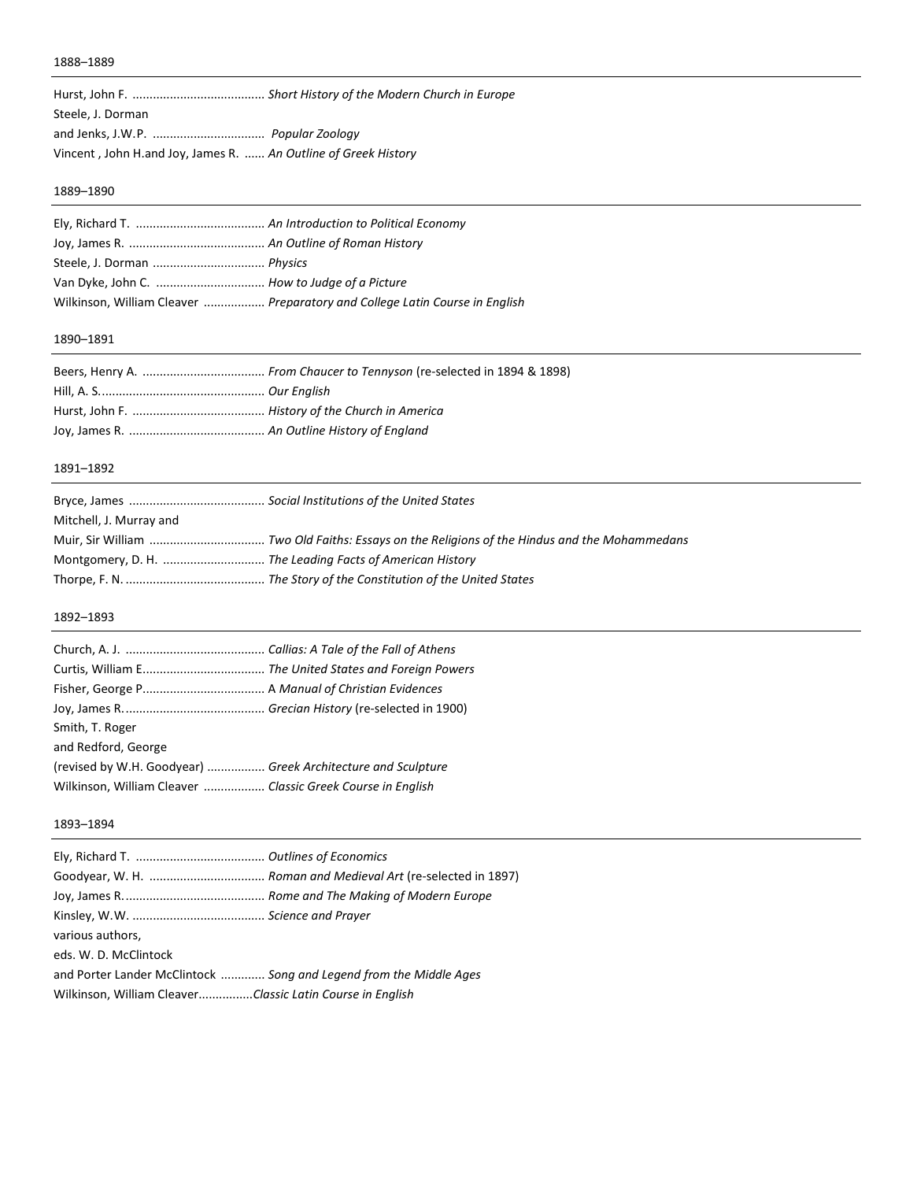| Steele, J. Dorman                                              |  |
|----------------------------------------------------------------|--|
|                                                                |  |
| Vincent, John H.and Joy, James R.  An Outline of Greek History |  |

# 1889–1890

| Wilkinson, William Cleaver  Preparatory and College Latin Course in English |
|-----------------------------------------------------------------------------|

## 1890–1891

## 1891–1892

| Mitchell, J. Murray and |  |
|-------------------------|--|
|                         |  |
|                         |  |
|                         |  |

# 1892–1893

| Smith, T. Roger                                              |  |
|--------------------------------------------------------------|--|
| and Redford, George                                          |  |
| (revised by W.H. Goodyear)  Greek Architecture and Sculpture |  |
| Wilkinson, William Cleaver  Classic Greek Course in English  |  |

| various authors,                                          |                                                                    |
|-----------------------------------------------------------|--------------------------------------------------------------------|
| eds. W. D. McClintock                                     |                                                                    |
|                                                           | and Porter Lander McClintock  Song and Legend from the Middle Ages |
| Wilkinson, William CleaverClassic Latin Course in English |                                                                    |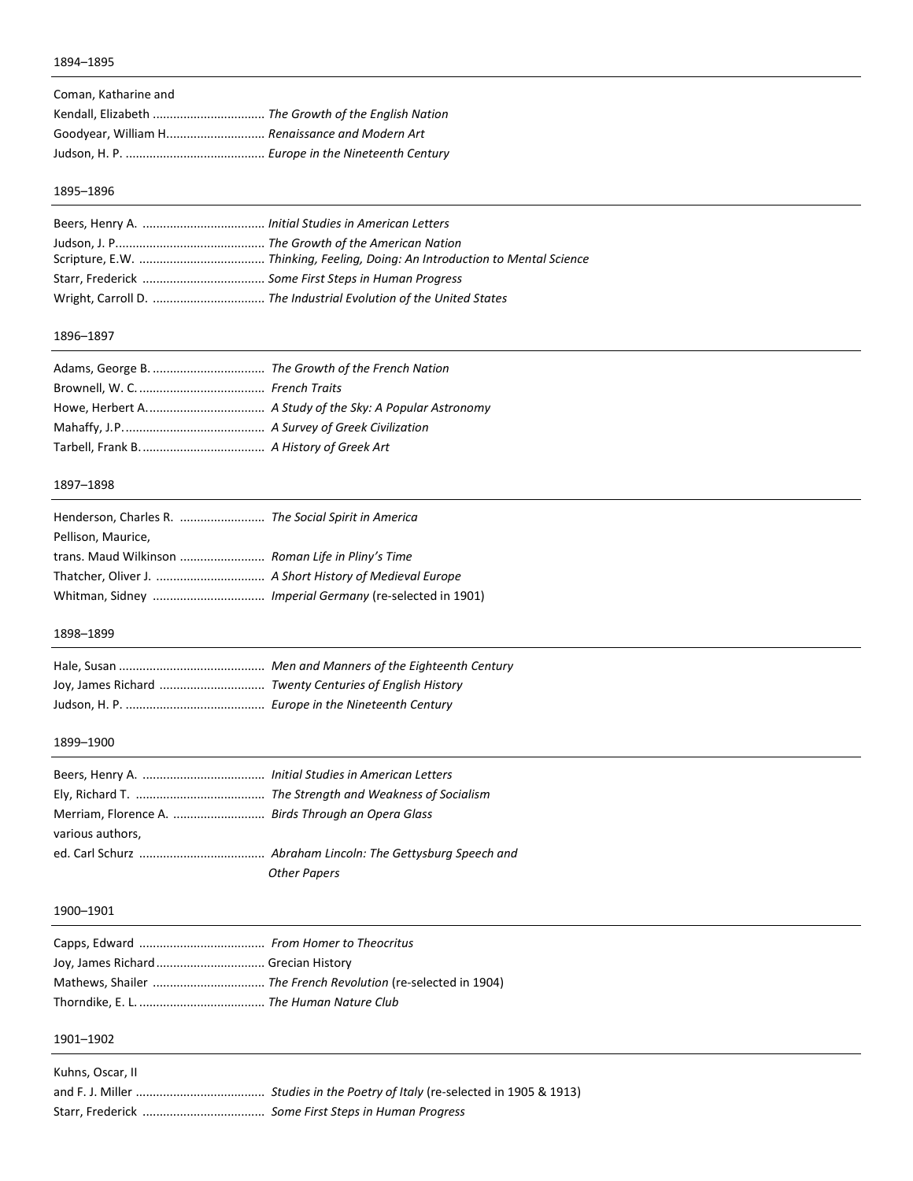| Coman, Katharine and                           |  |
|------------------------------------------------|--|
|                                                |  |
| Goodyear, William H Renaissance and Modern Art |  |
|                                                |  |

# 1895–1896

# 1896–1897

#### 1897–1898

| Henderson, Charles R.  The Social Spirit in America |  |
|-----------------------------------------------------|--|
| Pellison, Maurice,                                  |  |
| trans. Maud Wilkinson  Roman Life in Pliny's Time   |  |
|                                                     |  |
|                                                     |  |

#### 1898–1899

#### 1899–1900

| various authors, |                     |
|------------------|---------------------|
|                  |                     |
|                  | <b>Other Papers</b> |

## 1900–1901

| Kuhns. Oscar. II |  |
|------------------|--|
|                  |  |
|                  |  |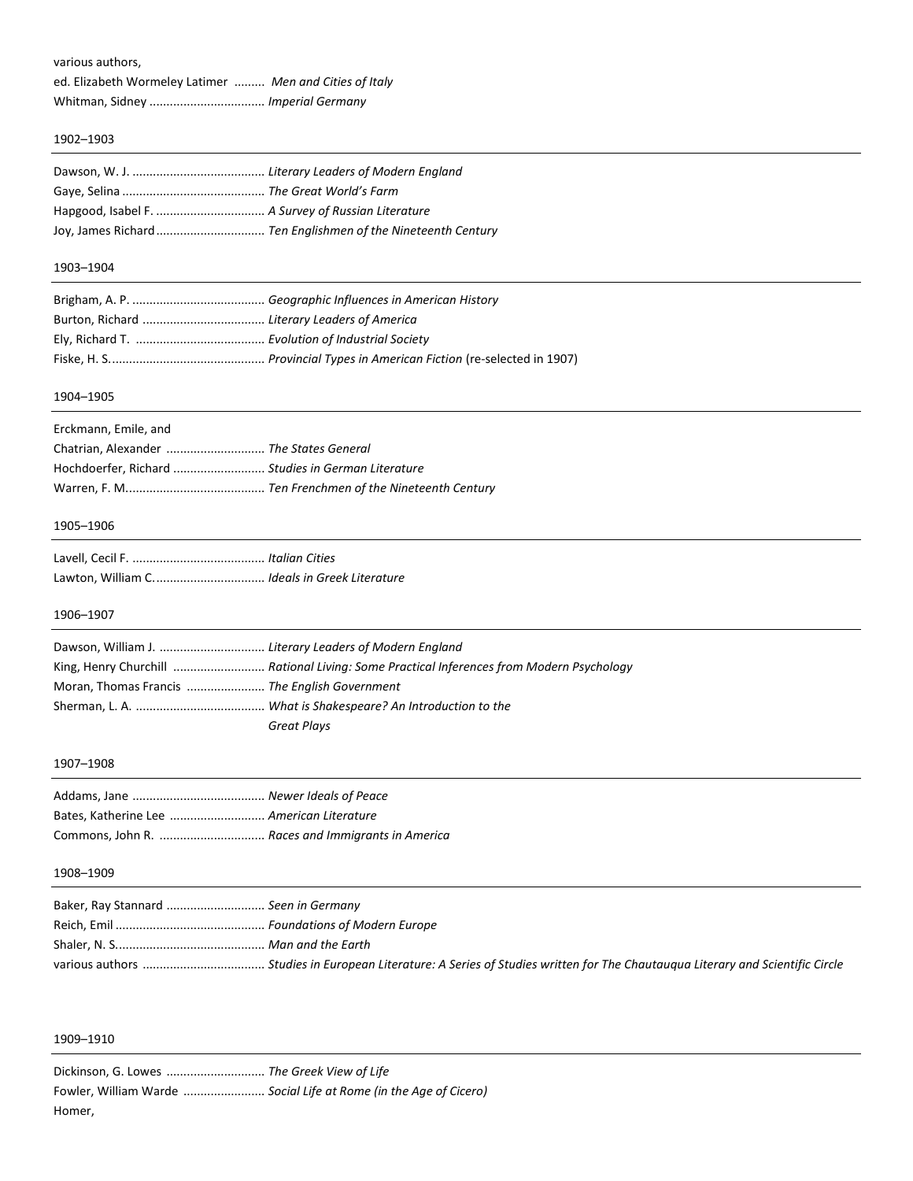various authors,

| ed. Elizabeth Wormeley Latimer  Men and Cities of Italy |  |
|---------------------------------------------------------|--|
|                                                         |  |

#### 1902–1903

#### 1903–1904

#### 1904–1905

| Erckmann, Emile, and                               |  |
|----------------------------------------------------|--|
| Chatrian, Alexander  The States General            |  |
| Hochdoerfer, Richard  Studies in German Literature |  |
|                                                    |  |

# 1905–1906

#### 1906–1907

| Moran, Thomas Francis  The English Government |             |
|-----------------------------------------------|-------------|
|                                               |             |
|                                               | Great Plays |

#### 1907–1908

| Bates, Katherine Lee  American Literature |  |
|-------------------------------------------|--|
|                                           |  |

#### 1908–1909

| Baker, Ray Stannard  Seen in Germany |  |
|--------------------------------------|--|
|                                      |  |
|                                      |  |
|                                      |  |

#### 1909–1910

Dickinson, G. Lowes ............................. The Greek View of Life Fowler, William Warde ........................ Social Life at Rome (in the Age of Cicero) Homer,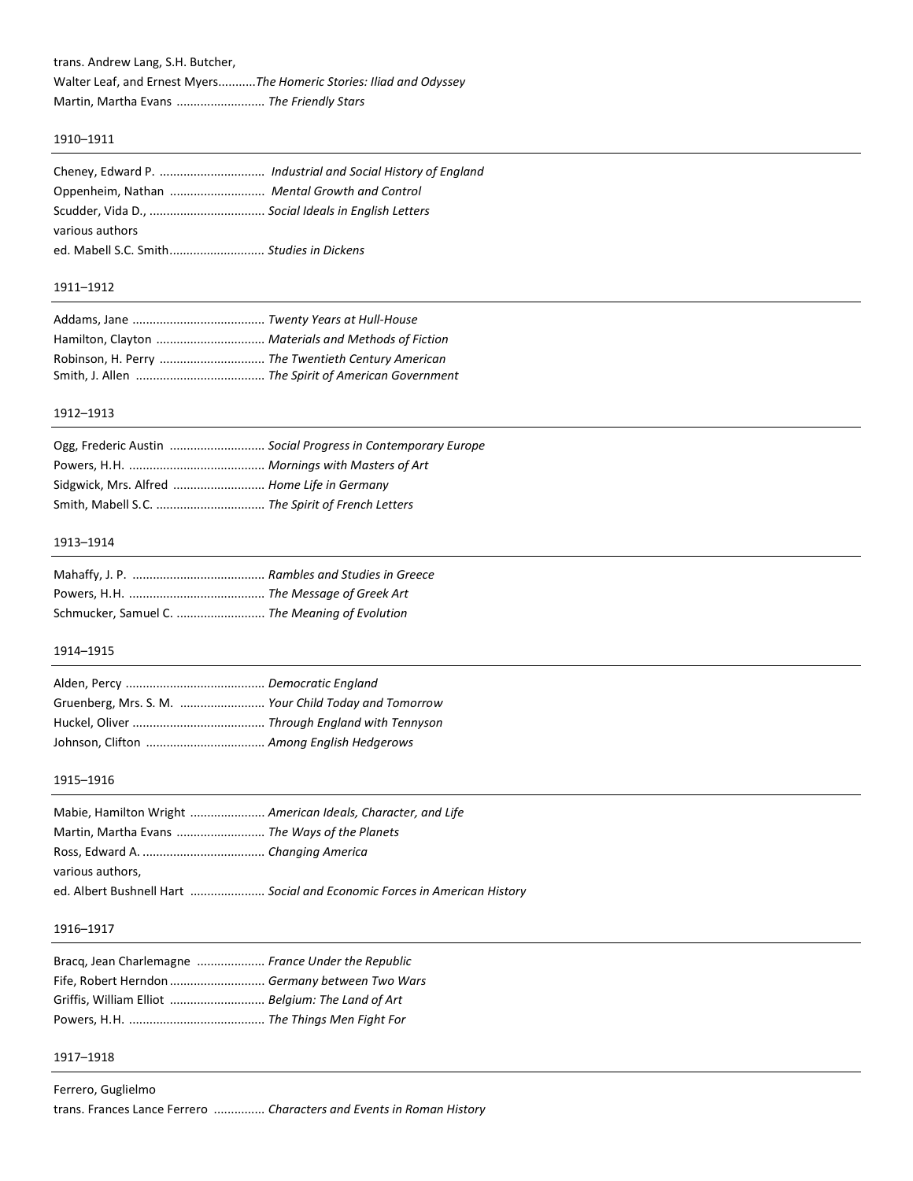trans. Andrew Lang, S.H. Butcher, Walter Leaf, and Ernest Myers...........The Homeric Stories: Iliad and Odyssey Martin, Martha Evans .......................... The Friendly Stars

## 1910–1911

| Oppenheim, Nathan  Mental Growth and Control |  |
|----------------------------------------------|--|
|                                              |  |
| various authors                              |  |
| ed. Mabell S.C. Smith Studies in Dickens     |  |

#### 1911–1912

#### 1912–1913

|                                             | Ogg, Frederic Austin  Social Progress in Contemporary Europe |
|---------------------------------------------|--------------------------------------------------------------|
|                                             |                                                              |
| Sidgwick, Mrs. Alfred  Home Life in Germany |                                                              |
|                                             |                                                              |

#### 1913–1914

| Schmucker, Samuel C.  The Meaning of Evolution |  |
|------------------------------------------------|--|

## 1914–1915

| Gruenberg, Mrs. S. M.  Your Child Today and Tomorrow |  |
|------------------------------------------------------|--|
|                                                      |  |
|                                                      |  |

# 1915–1916

| Mabie, Hamilton Wright  American Ideals, Character, and Life |                                                                          |
|--------------------------------------------------------------|--------------------------------------------------------------------------|
| Martin, Martha Evans  The Ways of the Planets                |                                                                          |
|                                                              |                                                                          |
| various authors,                                             |                                                                          |
|                                                              | ed. Albert Bushnell Hart  Social and Economic Forces in American History |

#### 1916–1917

| Bracq, Jean Charlemagne  France Under the Republic |  |
|----------------------------------------------------|--|
| Fife, Robert Herndon  Germany between Two Wars     |  |
| Griffis, William Elliot  Belgium: The Land of Art  |  |
|                                                    |  |

## 1917–1918

Ferrero, Guglielmo trans. Frances Lance Ferrero ............... Characters and Events in Roman History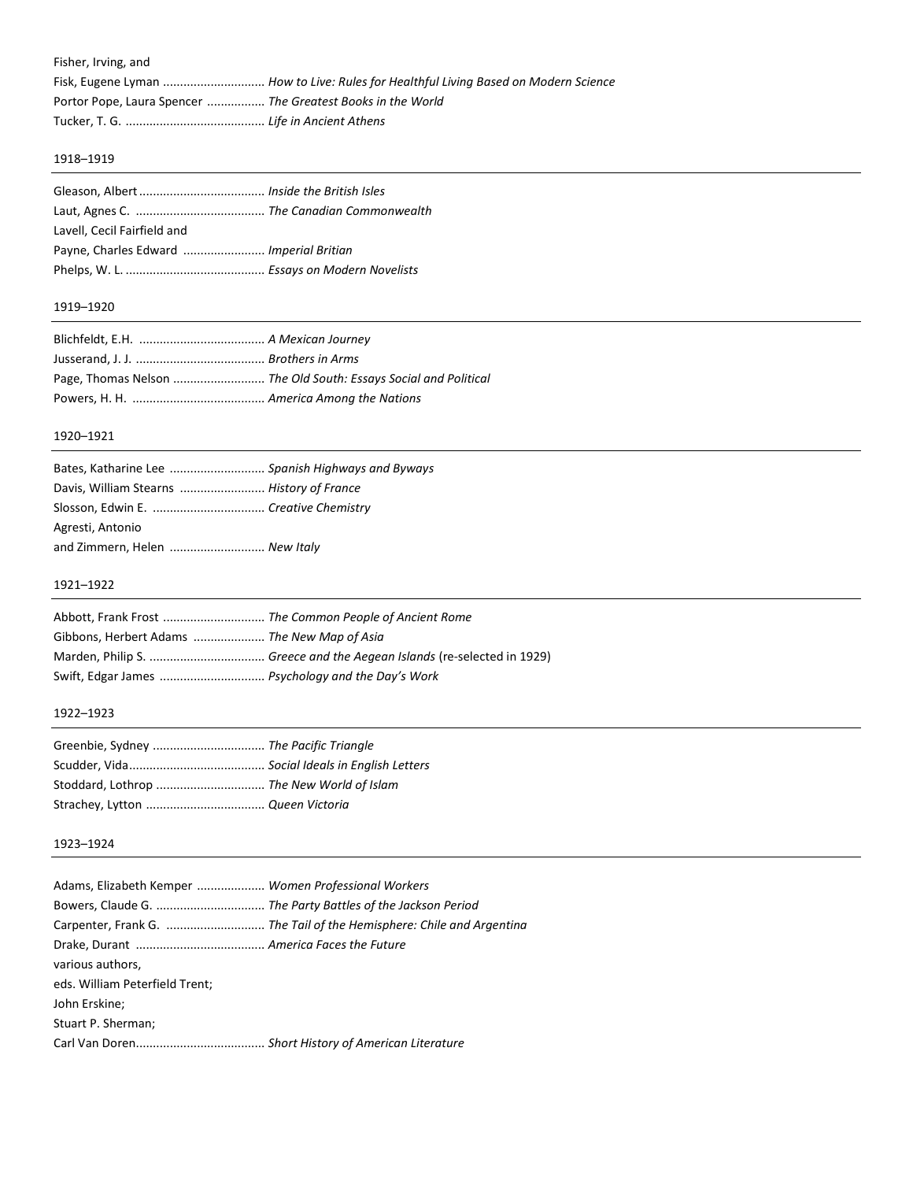Fisher, Irving, and Fisk, Eugene Lyman .............................. How to Live: Rules for Healthful Living Based on Modern Science Portor Pope, Laura Spencer ................. The Greatest Books in the World Tucker, T. G. ......................................... Life in Ancient Athens

#### 1918–1919

| Lavell, Cecil Fairfield and             |  |
|-----------------------------------------|--|
| Payne, Charles Edward  Imperial Britian |  |
|                                         |  |

## 1919–1920

| Page, Thomas Nelson  The Old South: Essays Social and Political |
|-----------------------------------------------------------------|
|                                                                 |

#### 1920–1921

| Bates, Katharine Lee  Spanish Highways and Byways |  |
|---------------------------------------------------|--|
| Davis, William Stearns  History of France         |  |
|                                                   |  |
| Agresti, Antonio                                  |  |
| and Zimmern, Helen  New Italy                     |  |

# 1921–1922

| Abbott, Frank Frost  The Common People of Ancient Rome |  |
|--------------------------------------------------------|--|
| Gibbons, Herbert Adams  The New Map of Asia            |  |
|                                                        |  |
|                                                        |  |

#### 1922–1923

| Stoddard, Lothrop  The New World of Islam |  |
|-------------------------------------------|--|
|                                           |  |

| Adams, Elizabeth Kemper  Women Professional Workers |  |
|-----------------------------------------------------|--|
|                                                     |  |
|                                                     |  |
|                                                     |  |
| various authors,                                    |  |
| eds. William Peterfield Trent;                      |  |
| John Erskine;                                       |  |
| Stuart P. Sherman;                                  |  |
|                                                     |  |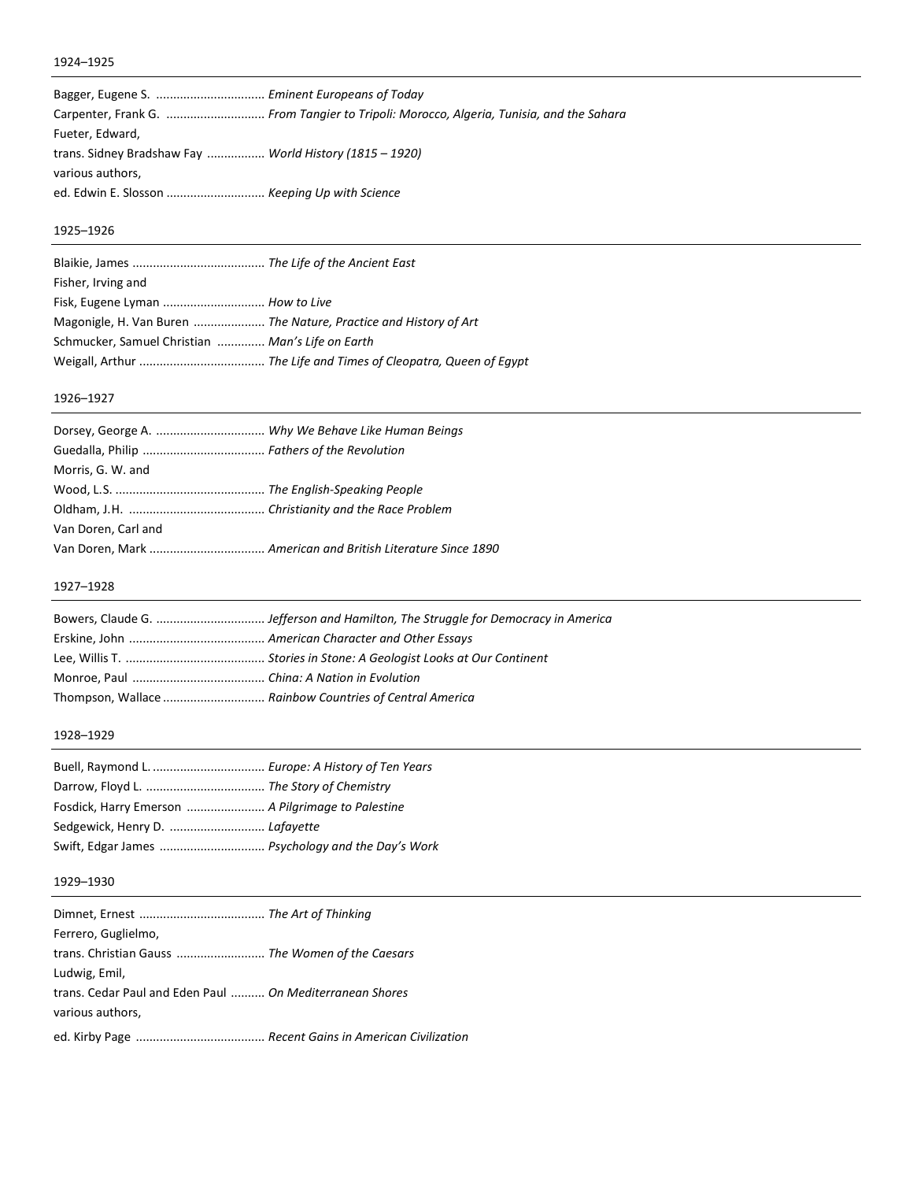|                                                         | Carpenter, Frank G.  From Tangier to Tripoli: Morocco, Algeria, Tunisia, and the Sahara |
|---------------------------------------------------------|-----------------------------------------------------------------------------------------|
| Fueter, Edward,                                         |                                                                                         |
| trans. Sidney Bradshaw Fay  World History (1815 – 1920) |                                                                                         |
| various authors,                                        |                                                                                         |
| ed. Edwin E. Slosson  Keeping Up with Science           |                                                                                         |

# 1925–1926

| Fisher, Irving and                                               |  |
|------------------------------------------------------------------|--|
| Fisk, Eugene Lyman  How to Live                                  |  |
| Magonigle, H. Van Buren  The Nature, Practice and History of Art |  |
| Schmucker, Samuel Christian  Man's Life on Earth                 |  |
|                                                                  |  |

#### 1926–1927

| Morris, G. W. and   |  |
|---------------------|--|
|                     |  |
|                     |  |
| Van Doren, Carl and |  |
|                     |  |

#### 1927–1928

# 1928–1929

| Fosdick, Harry Emerson  A Pilgrimage to Palestine |  |
|---------------------------------------------------|--|
|                                                   |  |
| Swift, Edgar James  Psychology and the Day's Work |  |

| Ferrero, Guglielmo,                                      |  |
|----------------------------------------------------------|--|
| trans. Christian Gauss  The Women of the Caesars         |  |
| Ludwig, Emil,                                            |  |
| trans. Cedar Paul and Eden Paul  On Mediterranean Shores |  |
| various authors,                                         |  |
|                                                          |  |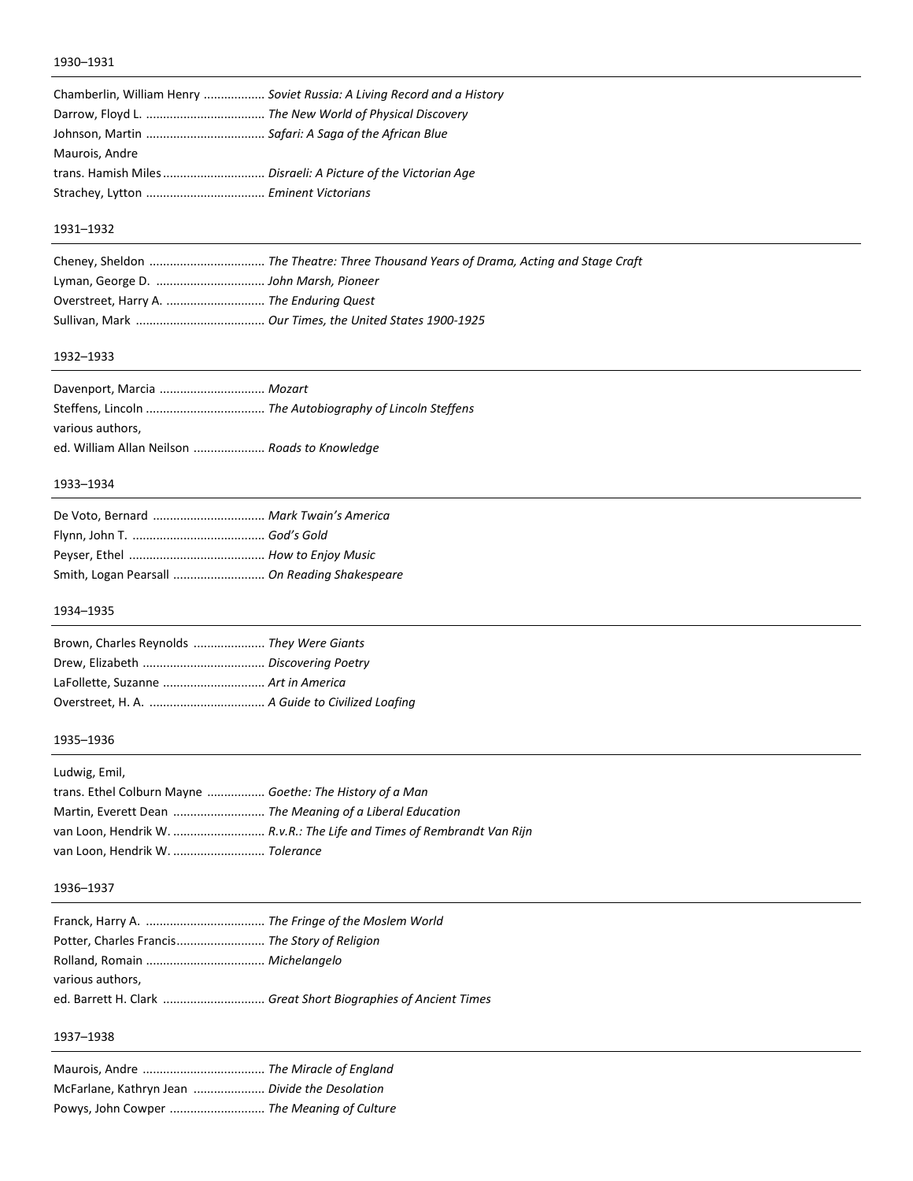|                | Chamberlin, William Henry  Soviet Russia: A Living Record and a History |
|----------------|-------------------------------------------------------------------------|
|                |                                                                         |
|                |                                                                         |
| Maurois, Andre |                                                                         |
|                |                                                                         |
|                |                                                                         |
|                |                                                                         |

#### 1931–1932

| Overstreet, Harry A.  The Enduring Quest |  |
|------------------------------------------|--|
|                                          |  |

## 1932–1933

| Davenport, Marcia  Mozart                     |  |
|-----------------------------------------------|--|
|                                               |  |
| various authors,                              |  |
| ed. William Allan Neilson  Roads to Knowledge |  |

#### 1933–1934

| De Voto, Bernard  Mark Twain's America        |  |
|-----------------------------------------------|--|
|                                               |  |
|                                               |  |
| Smith, Logan Pearsall  On Reading Shakespeare |  |

## 1934–1935

| Brown, Charles Reynolds  They Were Giants |  |
|-------------------------------------------|--|
|                                           |  |
| LaFollette, Suzanne  Art in America       |  |
|                                           |  |

## 1935–1936

| Ludwig, Emil,                                            |  |
|----------------------------------------------------------|--|
| trans. Ethel Colburn Mayne  Goethe: The History of a Man |  |
| Martin, Everett Dean  The Meaning of a Liberal Education |  |
|                                                          |  |
| van Loon, Hendrik W.  Tolerance                          |  |

# 1936–1937

| Potter, Charles Francis The Story of Religion |                                                                |
|-----------------------------------------------|----------------------------------------------------------------|
|                                               |                                                                |
| various authors,                              |                                                                |
|                                               | ed. Barrett H. Clark  Great Short Biographies of Ancient Times |

| McFarlane, Kathryn Jean  Divide the Desolation |  |
|------------------------------------------------|--|
| Powys, John Cowper  The Meaning of Culture     |  |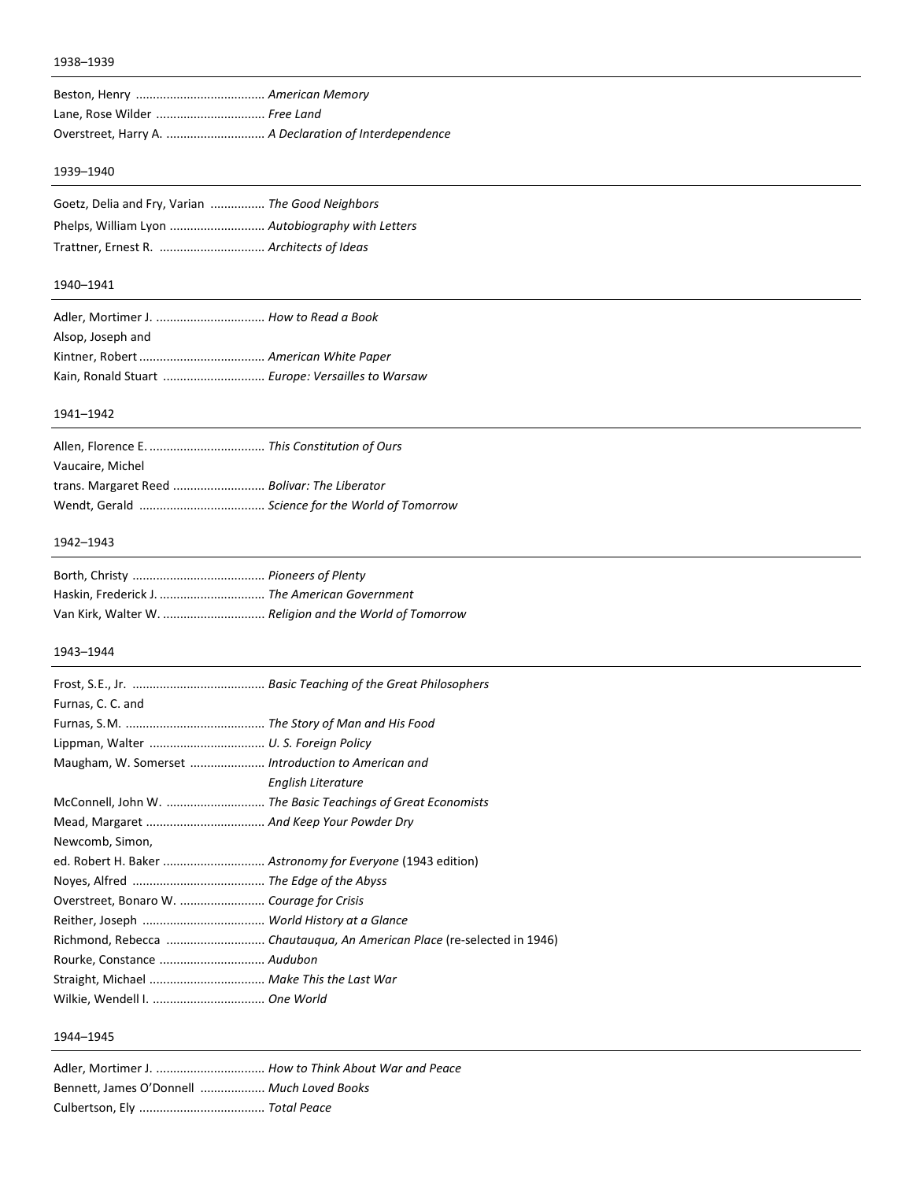| Lane, Rose Wilder  Free Land |  |
|------------------------------|--|
|                              |  |

## 1939–1940

| Goetz, Delia and Fry, Varian  The Good Neighbors |  |
|--------------------------------------------------|--|
|                                                  |  |
|                                                  |  |

## 1940–1941

| Alsop, Joseph and                                 |  |
|---------------------------------------------------|--|
|                                                   |  |
| Kain, Ronald Stuart  Europe: Versailles to Warsaw |  |

## 1941–1942

| Vaucaire, Michel                             |  |
|----------------------------------------------|--|
| trans. Margaret Reed  Bolivar: The Liberator |  |
|                                              |  |

#### 1942–1943

# 1943–1944

| Furnas, C. C. and                                           |
|-------------------------------------------------------------|
|                                                             |
|                                                             |
| Maugham, W. Somerset  Introduction to American and          |
| English Literature                                          |
| McConnell, John W.  The Basic Teachings of Great Economists |
|                                                             |
| Newcomb, Simon,                                             |
|                                                             |
|                                                             |
| Overstreet, Bonaro W.  Courage for Crisis                   |
|                                                             |
|                                                             |
|                                                             |
| Straight, Michael  Make This the Last War                   |
|                                                             |

## 1944–1945

Adler, Mortimer J. ................................ How to Think About War and Peace Bennett, James O'Donnell ................... Much Loved Books Culbertson, Ely ..................................... Total Peace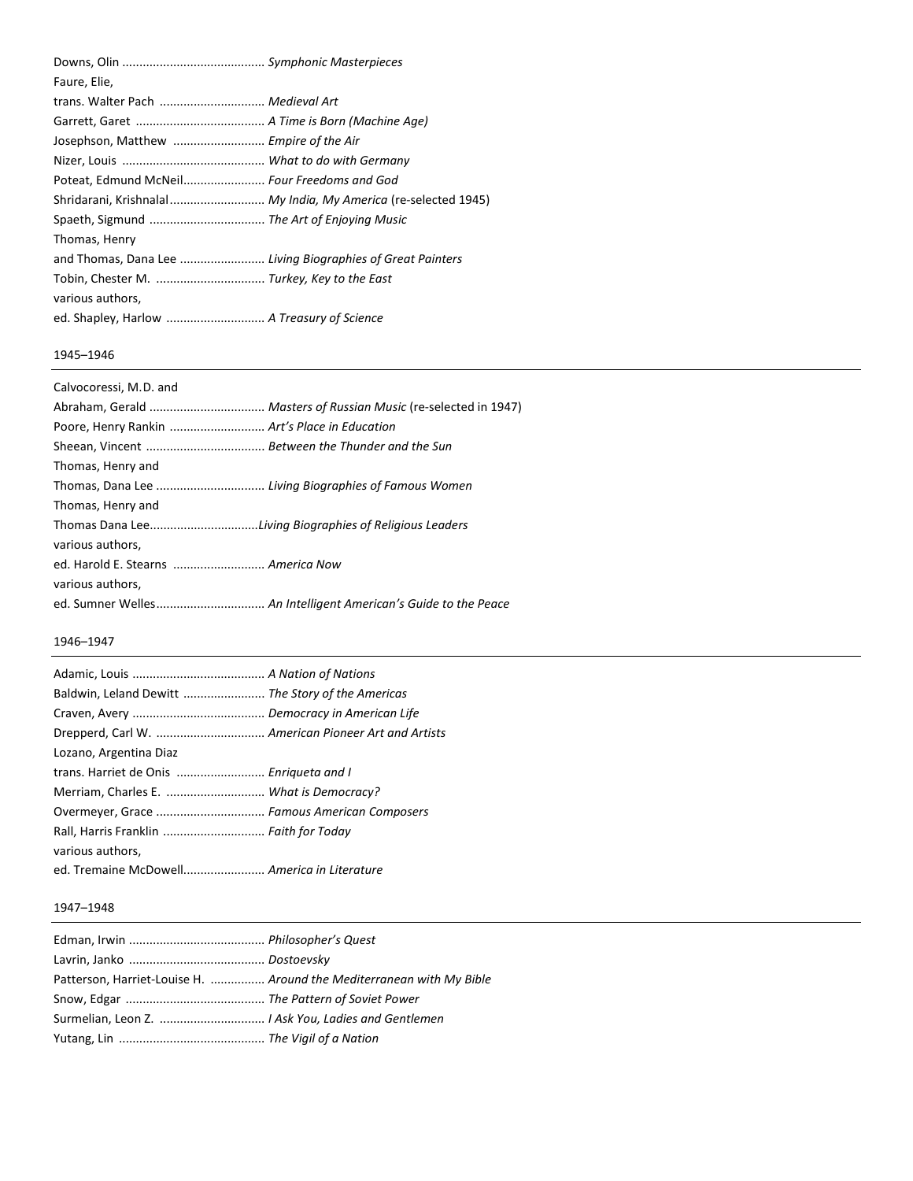| Faure, Elie,                                               |                                                                |
|------------------------------------------------------------|----------------------------------------------------------------|
| trans. Walter Pach  Medieval Art                           |                                                                |
|                                                            |                                                                |
| Josephson, Matthew  Empire of the Air                      |                                                                |
|                                                            |                                                                |
| Poteat, Edmund McNeil Four Freedoms and God                |                                                                |
|                                                            | Shridarani, Krishnalal My India, My America (re-selected 1945) |
| Spaeth, Sigmund  The Art of Enjoying Music                 |                                                                |
| Thomas, Henry                                              |                                                                |
| and Thomas, Dana Lee  Living Biographies of Great Painters |                                                                |
|                                                            |                                                                |
| various authors,                                           |                                                                |
|                                                            |                                                                |

| Calvocoressi, M.D. and                        |  |
|-----------------------------------------------|--|
|                                               |  |
| Poore, Henry Rankin  Art's Place in Education |  |
|                                               |  |
| Thomas, Henry and                             |  |
|                                               |  |
| Thomas, Henry and                             |  |
|                                               |  |
| various authors,                              |  |
| ed. Harold E. Stearns  America Now            |  |
| various authors,                              |  |
|                                               |  |

#### 1946–1947

| Baldwin, Leland Dewitt  The Story of the Americas |
|---------------------------------------------------|
|                                                   |
|                                                   |
| Lozano, Argentina Diaz                            |
| trans. Harriet de Onis  Enriqueta and I           |
| Merriam, Charles E.  What is Democracy?           |
| Overmeyer, Grace  Famous American Composers       |
| Rall, Harris Franklin  Faith for Today            |
| various authors,                                  |
| ed. Tremaine McDowell America in Literature       |

| Patterson, Harriet-Louise H.  Around the Mediterranean with My Bible |
|----------------------------------------------------------------------|
|                                                                      |
|                                                                      |
|                                                                      |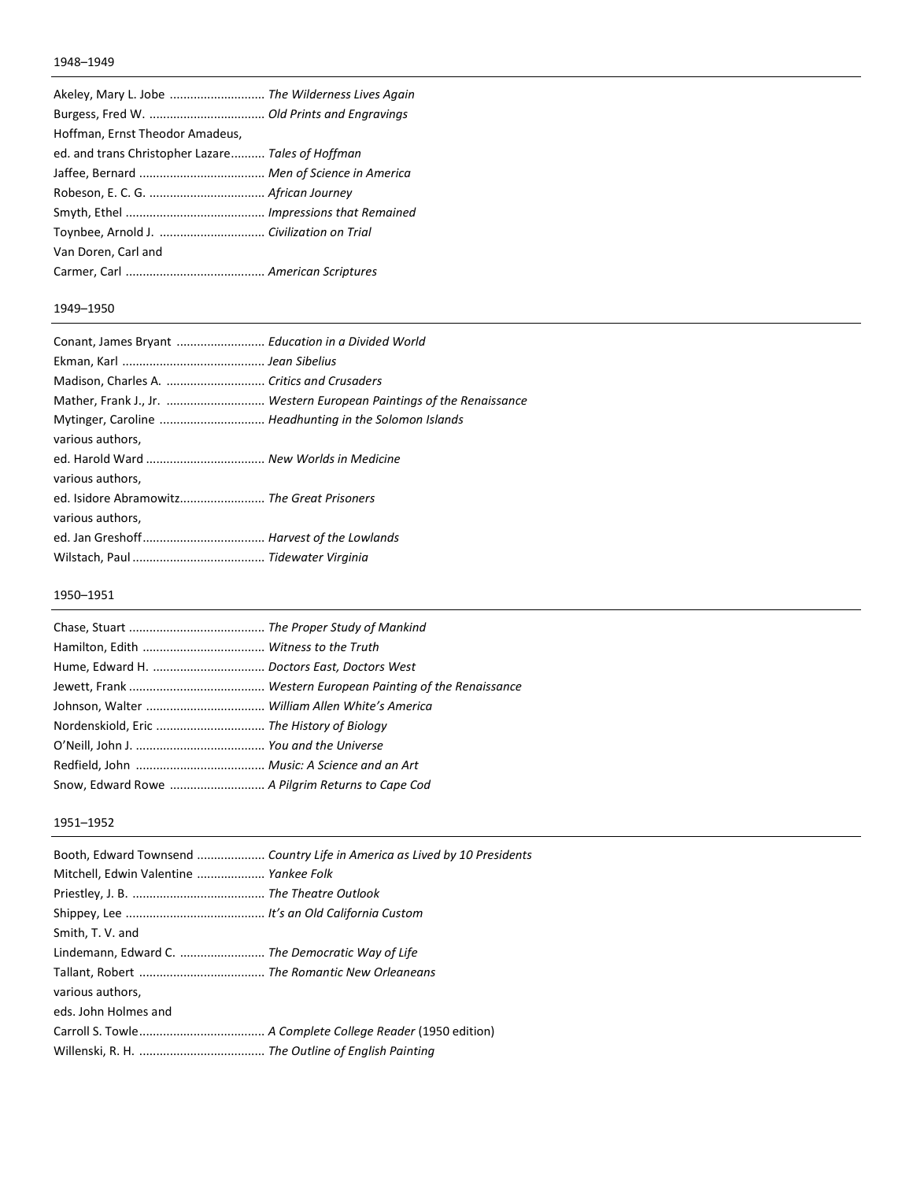| Akeley, Mary L. Jobe  The Wilderness Lives Again  |
|---------------------------------------------------|
|                                                   |
| Hoffman, Ernst Theodor Amadeus,                   |
| ed. and trans Christopher Lazare Tales of Hoffman |
|                                                   |
|                                                   |
|                                                   |
| Toynbee, Arnold J.  Civilization on Trial         |
| Van Doren, Carl and                               |
|                                                   |

#### 1949–1950

| Conant, James Bryant  Education in a Divided World     |  |
|--------------------------------------------------------|--|
| Madison, Charles A.  Critics and Crusaders             |  |
|                                                        |  |
| Mytinger, Caroline  Headhunting in the Solomon Islands |  |
| various authors,                                       |  |
|                                                        |  |
| various authors,                                       |  |
| ed. Isidore Abramowitz The Great Prisoners             |  |
| various authors,                                       |  |
|                                                        |  |
|                                                        |  |

## 1950–1951

| Snow, Edward Rowe  A Pilgrim Returns to Cape Cod |  |
|--------------------------------------------------|--|

| Booth, Edward Townsend  Country Life in America as Lived by 10 Presidents |
|---------------------------------------------------------------------------|
| Mitchell, Edwin Valentine  Yankee Folk                                    |
|                                                                           |
|                                                                           |
| Smith, T. V. and                                                          |
| Lindemann, Edward C.  The Democratic Way of Life                          |
|                                                                           |
| various authors,                                                          |
| eds. John Holmes and                                                      |
|                                                                           |
|                                                                           |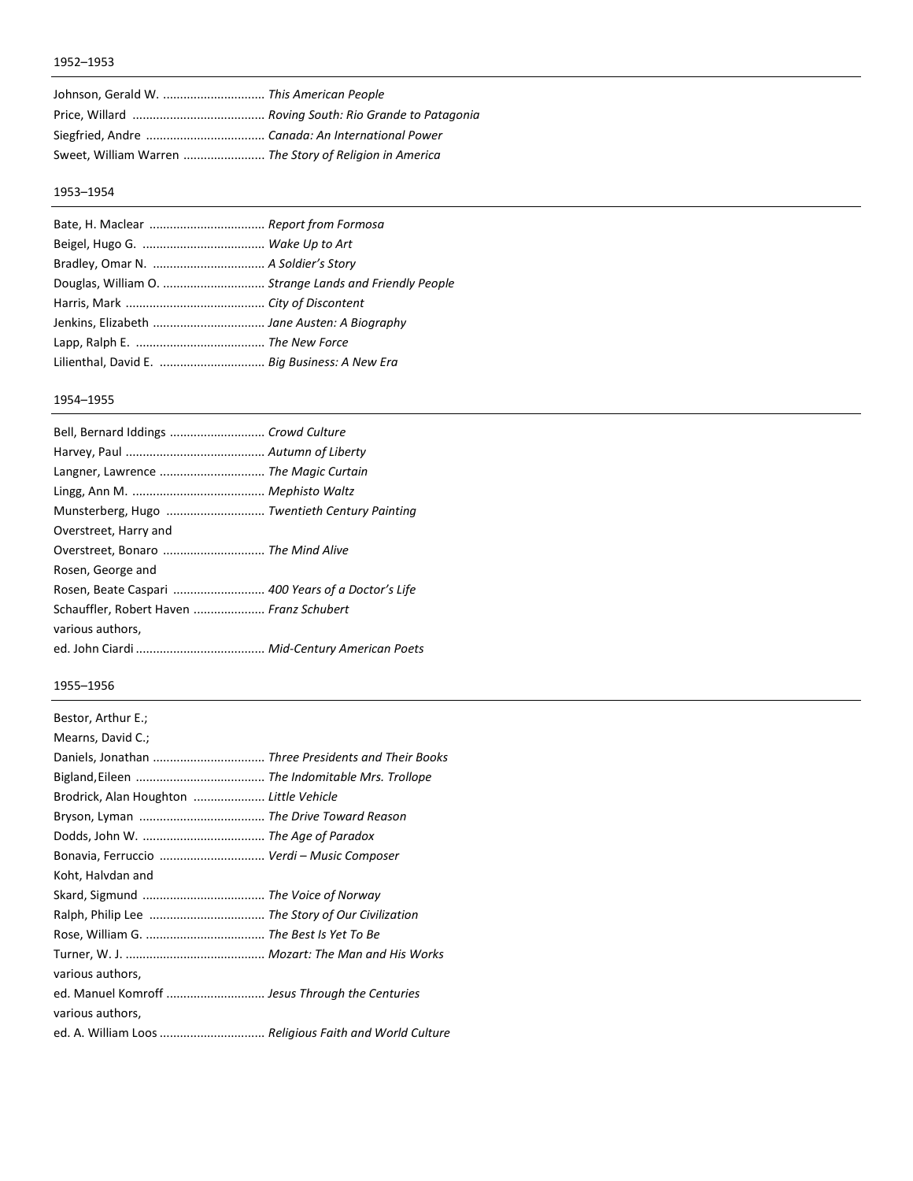| Sweet, William Warren  The Story of Religion in America |  |
|---------------------------------------------------------|--|

#### 1953–1954

| Bate, H. Maclear  Report from Formosa                  |  |
|--------------------------------------------------------|--|
|                                                        |  |
|                                                        |  |
| Douglas, William O.  Strange Lands and Friendly People |  |
|                                                        |  |
|                                                        |  |
|                                                        |  |
|                                                        |  |

## 1954–1955

| Bell, Bernard Iddings  Crowd Culture               |
|----------------------------------------------------|
|                                                    |
| Langner, Lawrence  The Magic Curtain               |
|                                                    |
| Munsterberg, Hugo  Twentieth Century Painting      |
| Overstreet, Harry and                              |
| Overstreet, Bonaro  The Mind Alive                 |
| Rosen, George and                                  |
| Rosen, Beate Caspari  400 Years of a Doctor's Life |
| Schauffler, Robert Haven  Franz Schubert           |
| various authors,                                   |
|                                                    |

| Bestor, Arthur E.;                                  |
|-----------------------------------------------------|
| Mearns, David C.;                                   |
| Daniels, Jonathan  Three Presidents and Their Books |
|                                                     |
| Brodrick, Alan Houghton  Little Vehicle             |
|                                                     |
|                                                     |
| Bonavia, Ferruccio  Verdi - Music Composer          |
| Koht, Halvdan and                                   |
|                                                     |
|                                                     |
|                                                     |
|                                                     |
| various authors,                                    |
|                                                     |
| various authors,                                    |
|                                                     |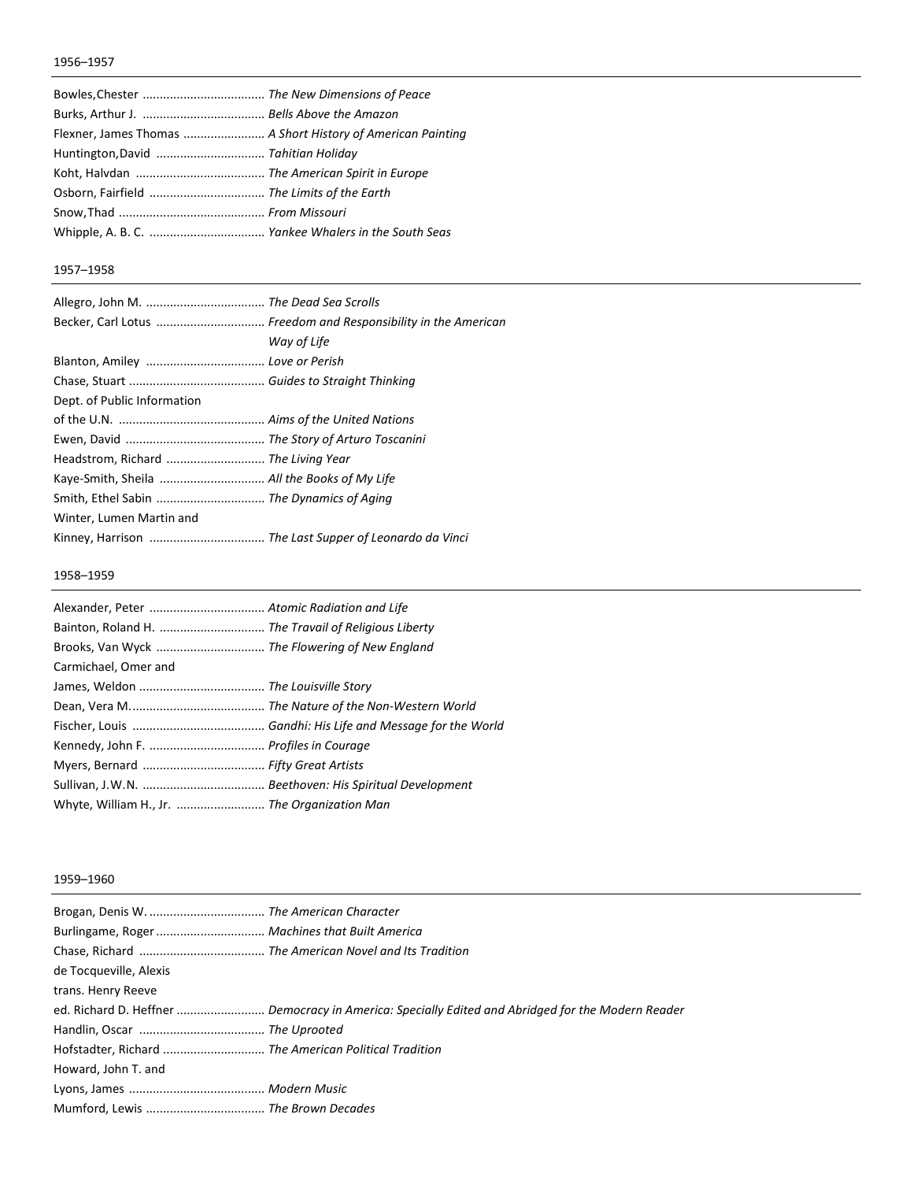|                                                        | Becker, Carl Lotus  Freedom and Responsibility in the American |
|--------------------------------------------------------|----------------------------------------------------------------|
|                                                        | Way of Life                                                    |
|                                                        |                                                                |
|                                                        |                                                                |
| Dept. of Public Information                            |                                                                |
|                                                        |                                                                |
|                                                        |                                                                |
| Headstrom, Richard  The Living Year                    |                                                                |
| Kaye-Smith, Sheila  All the Books of My Life           |                                                                |
| Smith, Ethel Sabin  The Dynamics of Aging              |                                                                |
| Winter, Lumen Martin and                               |                                                                |
| Kinney, Harrison  The Last Supper of Leonardo da Vinci |                                                                |

#### 1958–1959

| Bainton, Roland H.  The Travail of Religious Liberty |  |
|------------------------------------------------------|--|
| Brooks, Van Wyck  The Flowering of New England       |  |
| Carmichael, Omer and                                 |  |
|                                                      |  |
|                                                      |  |
|                                                      |  |
|                                                      |  |
|                                                      |  |
|                                                      |  |
| Whyte, William H., Jr.  The Organization Man         |  |

| Burlingame, Roger  Machines that Built America        |                                                                                                   |
|-------------------------------------------------------|---------------------------------------------------------------------------------------------------|
|                                                       |                                                                                                   |
| de Tocqueville, Alexis                                |                                                                                                   |
| trans. Henry Reeve                                    |                                                                                                   |
|                                                       | ed. Richard D. Heffner  Democracy in America: Specially Edited and Abridged for the Modern Reader |
|                                                       |                                                                                                   |
| Hofstadter, Richard  The American Political Tradition |                                                                                                   |
| Howard, John T. and                                   |                                                                                                   |
|                                                       |                                                                                                   |
|                                                       |                                                                                                   |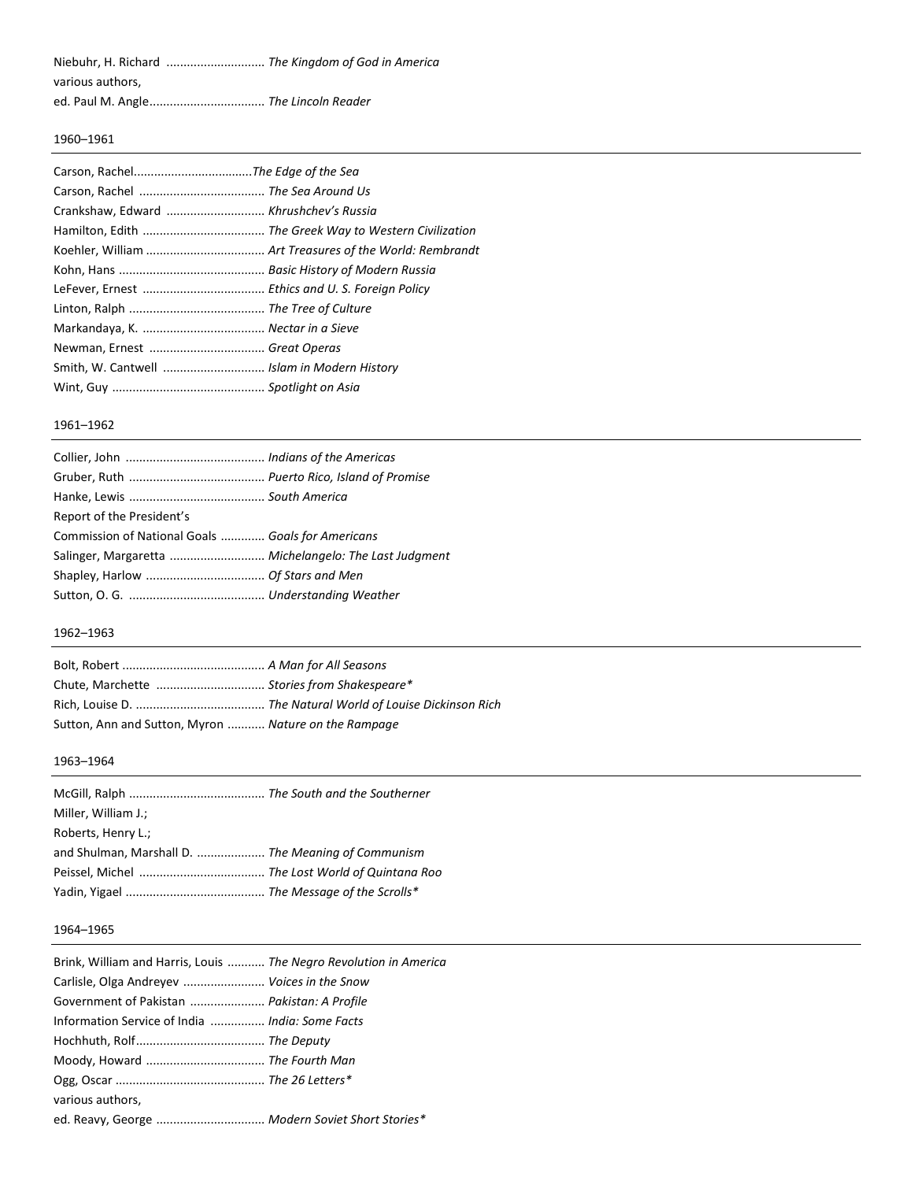| Niebuhr, H. Richard  The Kingdom of God in America |  |
|----------------------------------------------------|--|
| various authors.                                   |  |
|                                                    |  |

| Newman, Ernest  Great Operas                |  |
|---------------------------------------------|--|
| Smith, W. Cantwell  Islam in Modern History |  |
|                                             |  |

#### 1961–1962

| Report of the President's                             |  |
|-------------------------------------------------------|--|
| Commission of National Goals  Goals for Americans     |  |
| Salinger, Margaretta  Michelangelo: The Last Judgment |  |
|                                                       |  |
|                                                       |  |

#### 1962–1963

| Chute, Marchette  Stories from Shakespeare*          |  |
|------------------------------------------------------|--|
|                                                      |  |
| Sutton, Ann and Sutton, Myron  Nature on the Rampage |  |

## 1963–1964

| Miller, William J.;                                |  |
|----------------------------------------------------|--|
| Roberts, Henry L.;                                 |  |
| and Shulman, Marshall D.  The Meaning of Communism |  |
|                                                    |  |
|                                                    |  |

| Brink, William and Harris, Louis  The Negro Revolution in America |  |
|-------------------------------------------------------------------|--|
| Carlisle, Olga Andreyev  Voices in the Snow                       |  |
| Government of Pakistan  Pakistan: A Profile                       |  |
| Information Service of India  India: Some Facts                   |  |
|                                                                   |  |
|                                                                   |  |
|                                                                   |  |
| various authors,                                                  |  |
| ed. Reavy, George  Modern Soviet Short Stories*                   |  |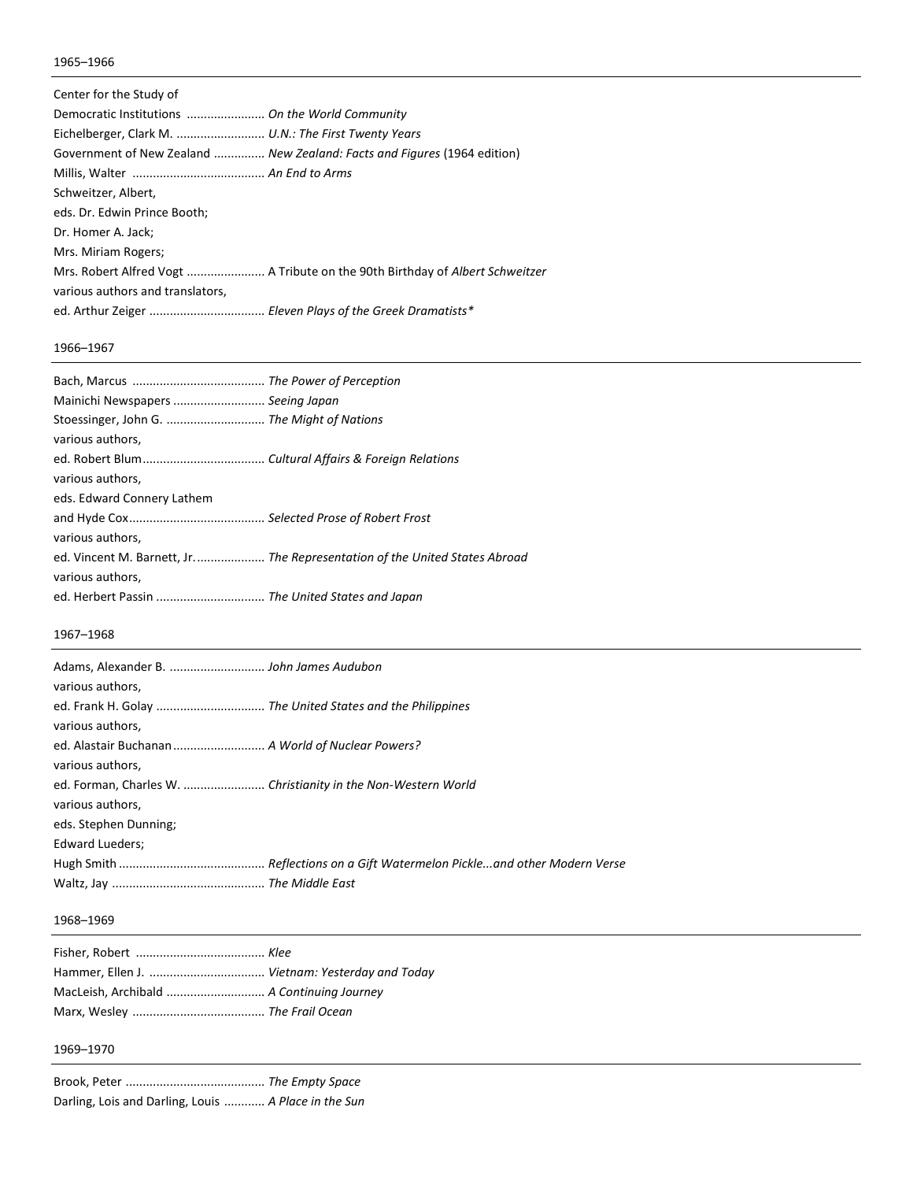#### 1966–1967

| Mainichi Newspapers  Seeing Japan                                           |
|-----------------------------------------------------------------------------|
| Stoessinger, John G.  The Might of Nations                                  |
| various authors,                                                            |
|                                                                             |
| various authors,                                                            |
| eds. Edward Connery Lathem                                                  |
|                                                                             |
| various authors,                                                            |
| ed. Vincent M. Barnett, Jr.  The Representation of the United States Abroad |
| various authors,                                                            |
|                                                                             |
|                                                                             |

#### 1967–1968

| various authors,                                                                 |
|----------------------------------------------------------------------------------|
| ed. Frank H. Golay  The United States and the Philippines                        |
| various authors,                                                                 |
|                                                                                  |
| various authors,                                                                 |
| ed. Forman, Charles W. Christianity in the Non-Western World<br>various authors, |
| eds. Stephen Dunning:                                                            |
| Edward Lueders;                                                                  |
|                                                                                  |
|                                                                                  |

# 1968–1969

| MacLeish, Archibald  A Continuing Journey |  |
|-------------------------------------------|--|
|                                           |  |

| Darling, Lois and Darling, Louis  A Place in the Sun |  |
|------------------------------------------------------|--|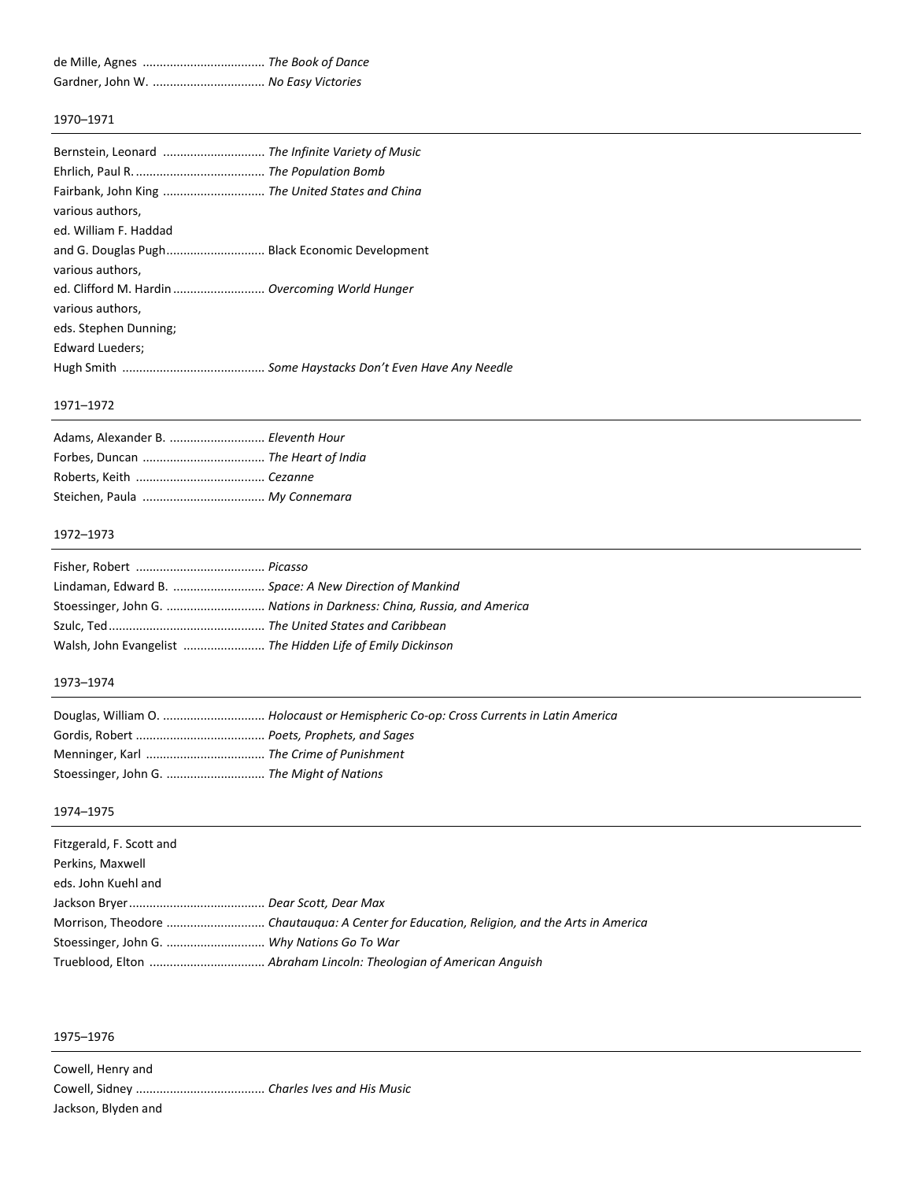| Bernstein, Leonard  The Infinite Variety of Music |
|---------------------------------------------------|
|                                                   |
| Fairbank, John King  The United States and China  |
|                                                   |
|                                                   |
| and G. Douglas Pugh Black Economic Development    |
|                                                   |
| ed. Clifford M. Hardin  Overcoming World Hunger   |
|                                                   |
|                                                   |
|                                                   |
|                                                   |
|                                                   |

## 1971–1972

| Adams, Alexander B.  Eleventh Hour |  |
|------------------------------------|--|
|                                    |  |
|                                    |  |
|                                    |  |

# 1972–1973

| Lindaman, Edward B.  Space: A New Direction of Mankind     |  |
|------------------------------------------------------------|--|
|                                                            |  |
|                                                            |  |
| Walsh, John Evangelist  The Hidden Life of Emily Dickinson |  |

# 1973–1974

# 1974–1975

| Fitzgerald, F. Scott and |  |
|--------------------------|--|
| Perkins, Maxwell         |  |
| eds. John Kuehl and      |  |
|                          |  |
|                          |  |
|                          |  |
|                          |  |

## 1975–1976

Cowell, Henry and Cowell, Sidney ...................................... Charles Ives and His Music Jackson, Blyden and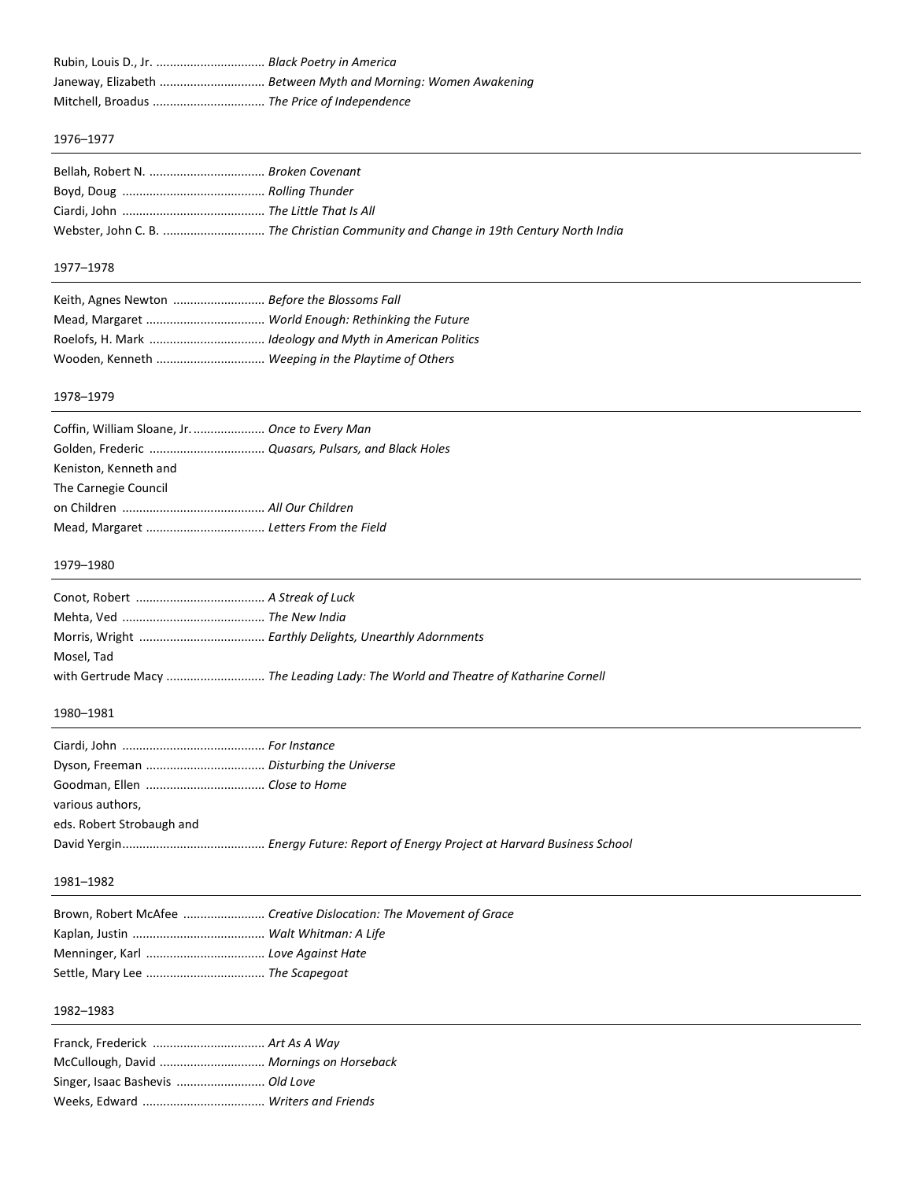#### 1977–1978

| Keith, Agnes Newton  Before the Blossoms Fall      |  |
|----------------------------------------------------|--|
|                                                    |  |
|                                                    |  |
| Wooden, Kenneth  Weeping in the Playtime of Others |  |

#### 1978–1979

| Coffin, William Sloane, Jr.  Once to Every Man |  |
|------------------------------------------------|--|
|                                                |  |
| Keniston, Kenneth and                          |  |
| The Carnegie Council                           |  |
|                                                |  |
|                                                |  |

## 1979–1980

| Mosel, Tad |  |
|------------|--|
|            |  |

# 1980–1981

| various authors,          |  |
|---------------------------|--|
| eds. Robert Strobaugh and |  |
|                           |  |

#### 1981–1982

| Brown, Robert McAfee  Creative Dislocation: The Movement of Grace |
|-------------------------------------------------------------------|
|                                                                   |
|                                                                   |
|                                                                   |

| McCullough, David  Mornings on Horseback |  |
|------------------------------------------|--|
|                                          |  |
|                                          |  |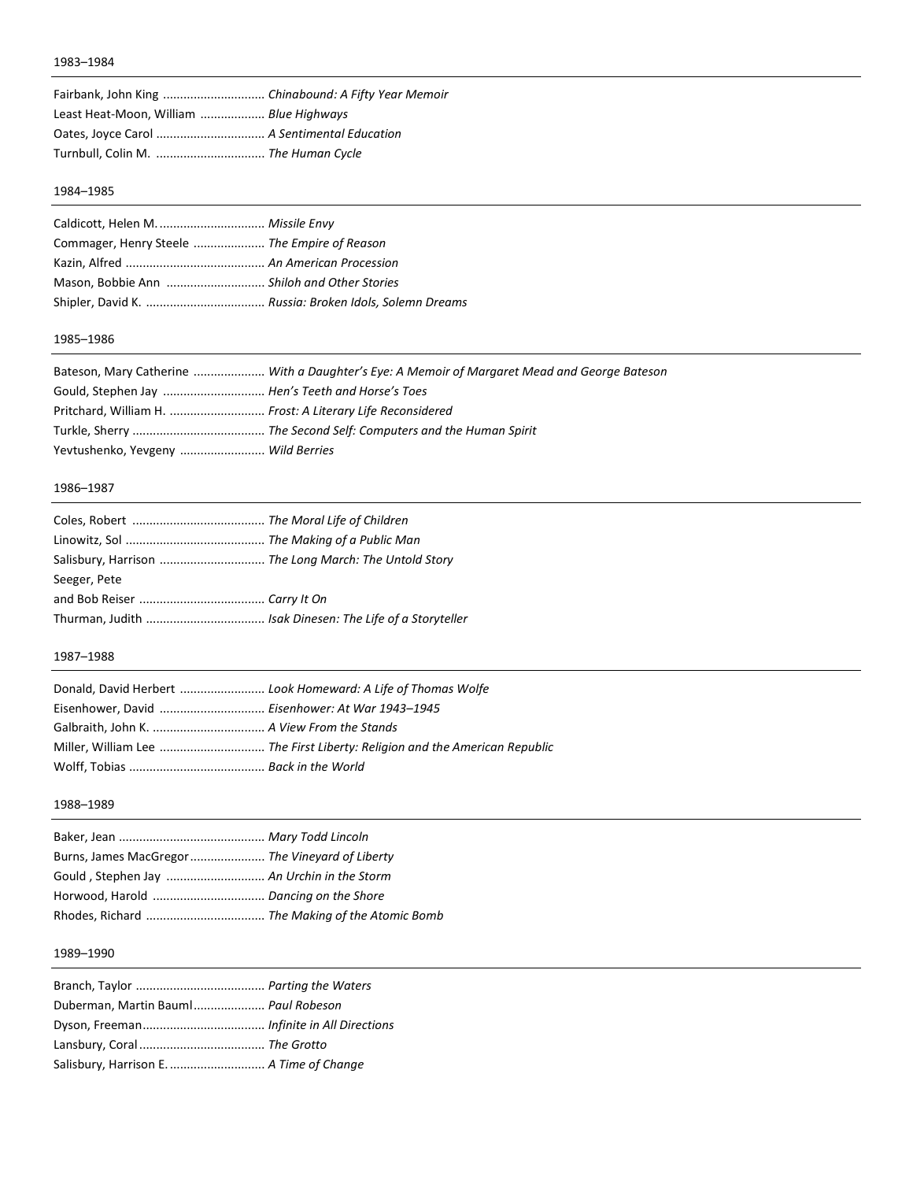| Least Heat-Moon, William  Blue Highways |  |
|-----------------------------------------|--|
|                                         |  |
|                                         |  |

# 1984–1985

| Caldicott, Helen M.  Missile Envy            |  |
|----------------------------------------------|--|
| Commager, Henry Steele  The Empire of Reason |  |
|                                              |  |
| Mason, Bobbie Ann  Shiloh and Other Stories  |  |
|                                              |  |

## 1985–1986

|                                                            | Bateson, Mary Catherine  With a Daughter's Eye: A Memoir of Margaret Mead and George Bateson |
|------------------------------------------------------------|----------------------------------------------------------------------------------------------|
| Gould, Stephen Jay  Hen's Teeth and Horse's Toes           |                                                                                              |
| Pritchard, William H.  Frost: A Literary Life Reconsidered |                                                                                              |
|                                                            |                                                                                              |
| Yevtushenko, Yevgeny  Wild Berries                         |                                                                                              |

#### 1986–1987

| Salisbury, Harrison  The Long March: The Untold Story |  |
|-------------------------------------------------------|--|
| Seeger, Pete                                          |  |
|                                                       |  |
|                                                       |  |

#### 1987–1988

| Eisenhower, David  Eisenhower: At War 1943–1945 |                                                                            |
|-------------------------------------------------|----------------------------------------------------------------------------|
|                                                 |                                                                            |
|                                                 | Miller, William Lee  The First Liberty: Religion and the American Republic |
|                                                 |                                                                            |

# 1988–1989

| Burns, James MacGregor The Vineyard of Liberty |  |
|------------------------------------------------|--|
| Gould, Stephen Jay  An Urchin in the Storm     |  |
|                                                |  |
|                                                |  |

| Duberman, Martin Bauml Paul Robeson |  |
|-------------------------------------|--|
|                                     |  |
|                                     |  |
|                                     |  |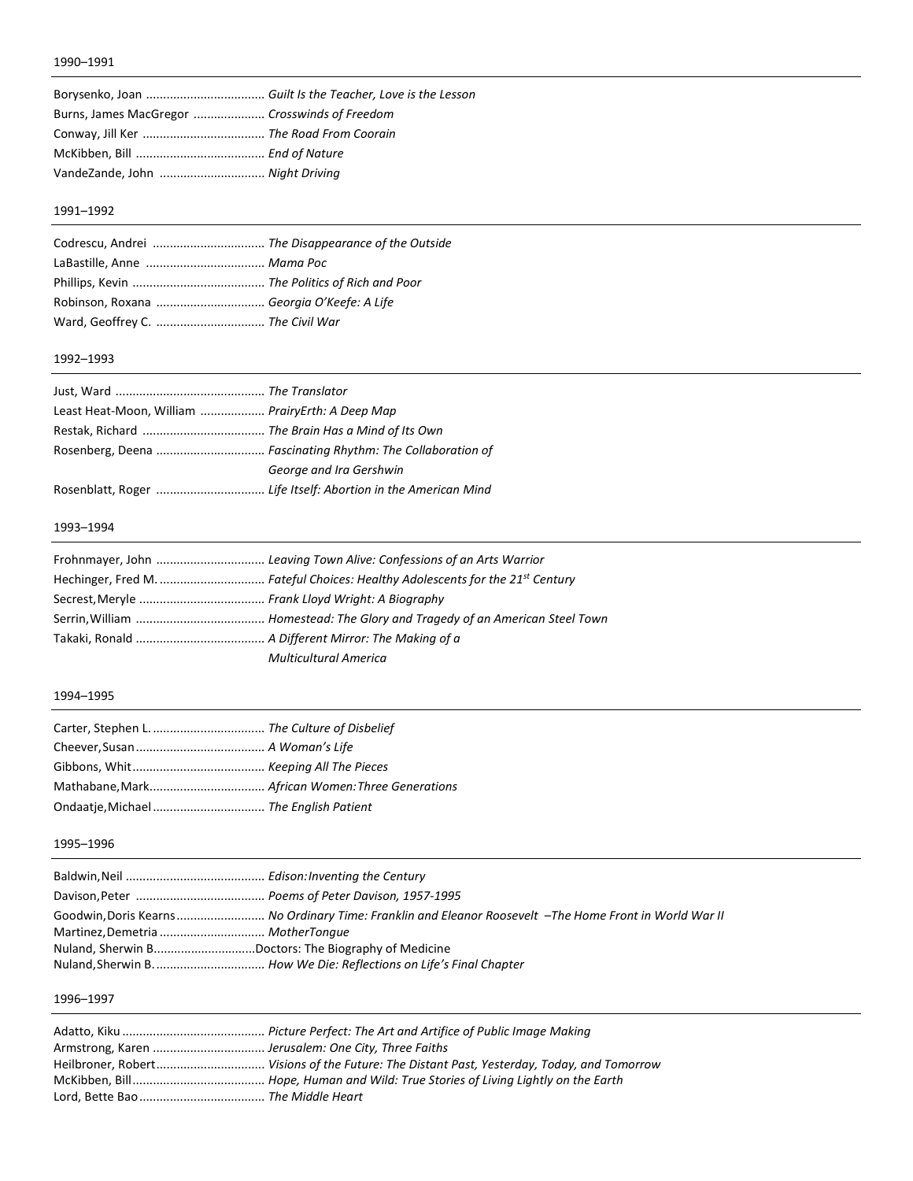| Burns, James MacGregor  Crosswinds of Freedom |  |
|-----------------------------------------------|--|
|                                               |  |
|                                               |  |
|                                               |  |

## 1991–1992

| Robinson, Roxana  Georgia O'Keefe: A Life |  |
|-------------------------------------------|--|
|                                           |  |

#### 1992–1993

| Least Heat-Moon, William  PrairyErth: A Deep Map |                         |
|--------------------------------------------------|-------------------------|
|                                                  |                         |
|                                                  |                         |
|                                                  | George and Ira Gershwin |
|                                                  |                         |

## 1993–1994

| <b>Multicultural America</b> |
|------------------------------|

#### 1994–1995

## 1995–1996

|                                                     | Goodwin, Doris Kearns No Ordinary Time: Franklin and Eleanor Roosevelt -The Home Front in World War II |
|-----------------------------------------------------|--------------------------------------------------------------------------------------------------------|
| Martinez, Demetria  MotherTonque                    |                                                                                                        |
| Nuland, Sherwin BDoctors: The Biography of Medicine |                                                                                                        |
|                                                     |                                                                                                        |

| Heilbroner, Robert Visions of the Future: The Distant Past, Yesterday, Today, and Tomorrow |
|--------------------------------------------------------------------------------------------|
|                                                                                            |
|                                                                                            |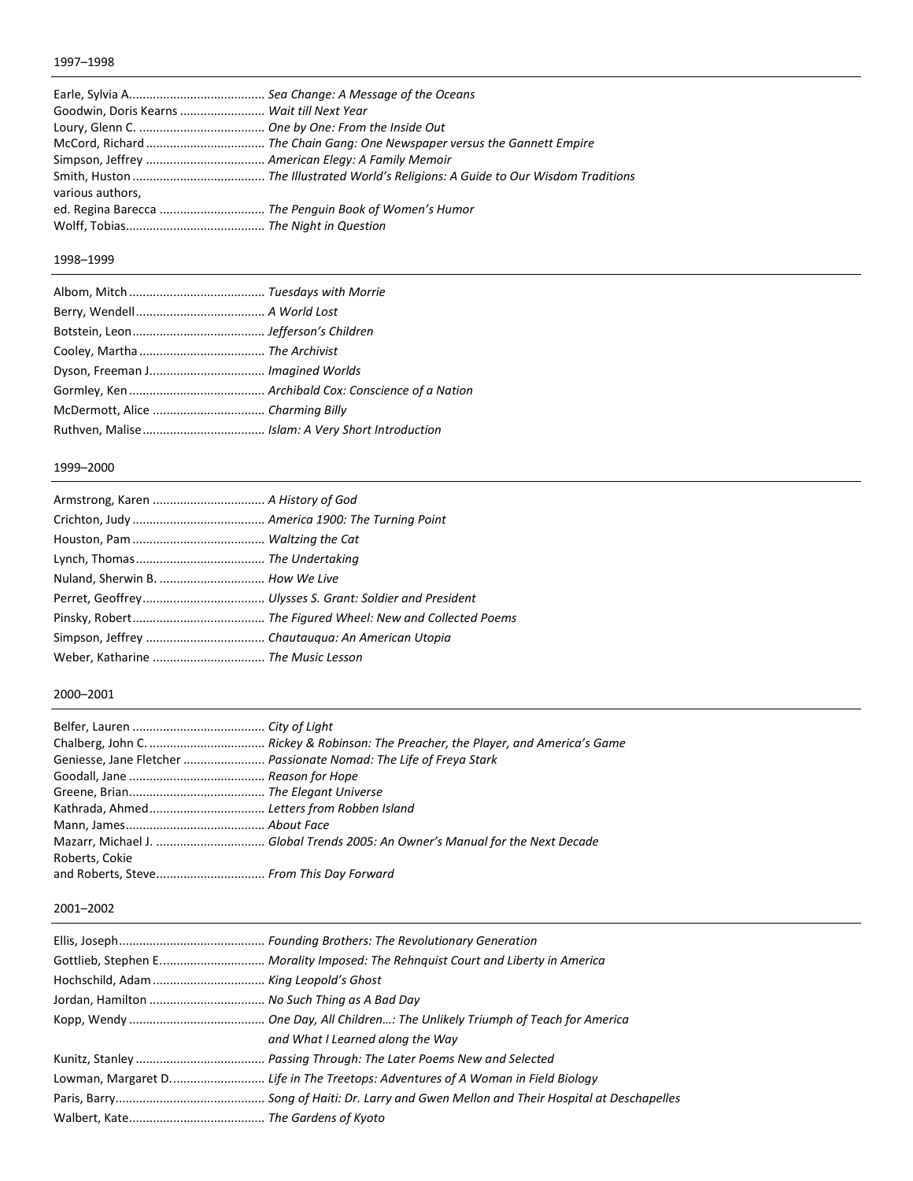| Goodwin, Doris Kearns  Wait till Next Year            |  |
|-------------------------------------------------------|--|
|                                                       |  |
|                                                       |  |
|                                                       |  |
|                                                       |  |
| various authors,                                      |  |
| ed. Regina Barecca  The Penguin Book of Women's Humor |  |
|                                                       |  |

#### 1999–2000

| Nuland, Sherwin B.  How We Live    |  |
|------------------------------------|--|
|                                    |  |
|                                    |  |
|                                    |  |
| Weber, Katharine  The Music Lesson |  |

## 2000–2001

|                                          | Geniesse, Jane Fletcher  Passionate Nomad: The Life of Freya Stark |
|------------------------------------------|--------------------------------------------------------------------|
|                                          |                                                                    |
|                                          |                                                                    |
|                                          |                                                                    |
|                                          |                                                                    |
|                                          |                                                                    |
| Roberts, Cokie                           |                                                                    |
| and Roberts, Steve From This Day Forward |                                                                    |

| Gottlieb, Stephen E Morality Imposed: The Rehnquist Court and Liberty in America |
|----------------------------------------------------------------------------------|
|                                                                                  |
|                                                                                  |
|                                                                                  |
| and What I Learned along the Way                                                 |
|                                                                                  |
| Lowman, Margaret D Life in The Treetops: Adventures of A Woman in Field Biology  |
|                                                                                  |
|                                                                                  |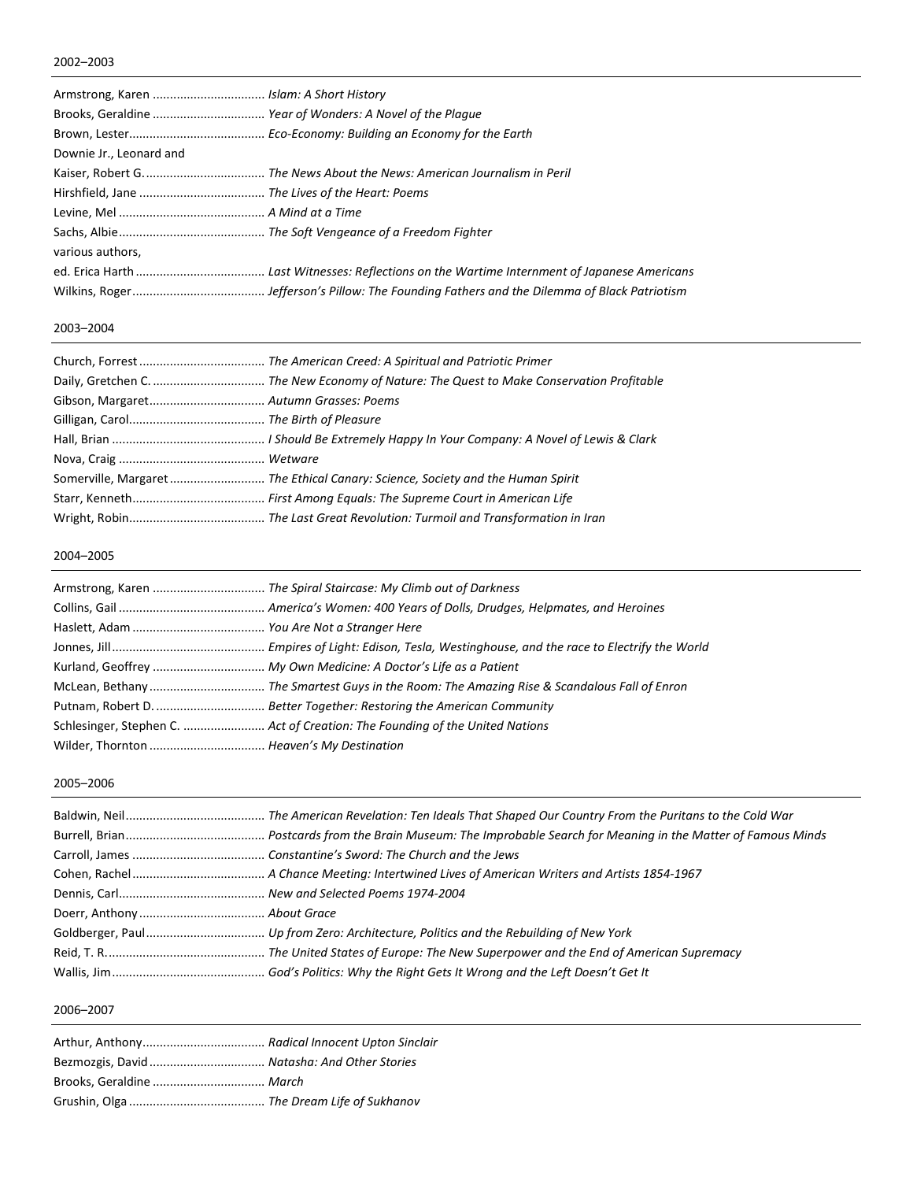| Downie Jr., Leonard and |  |
|-------------------------|--|
|                         |  |
|                         |  |
|                         |  |
|                         |  |
| various authors,        |  |
|                         |  |
|                         |  |

# 2003–2004

| Somerville, Margaret  The Ethical Canary: Science, Society and the Human Spirit |
|---------------------------------------------------------------------------------|
|                                                                                 |
|                                                                                 |

#### 2004–2005

| Kurland, Geoffrey  My Own Medicine: A Doctor's Life as a Patient             |
|------------------------------------------------------------------------------|
|                                                                              |
|                                                                              |
| Schlesinger, Stephen C.  Act of Creation: The Founding of the United Nations |
|                                                                              |

#### 2005–2006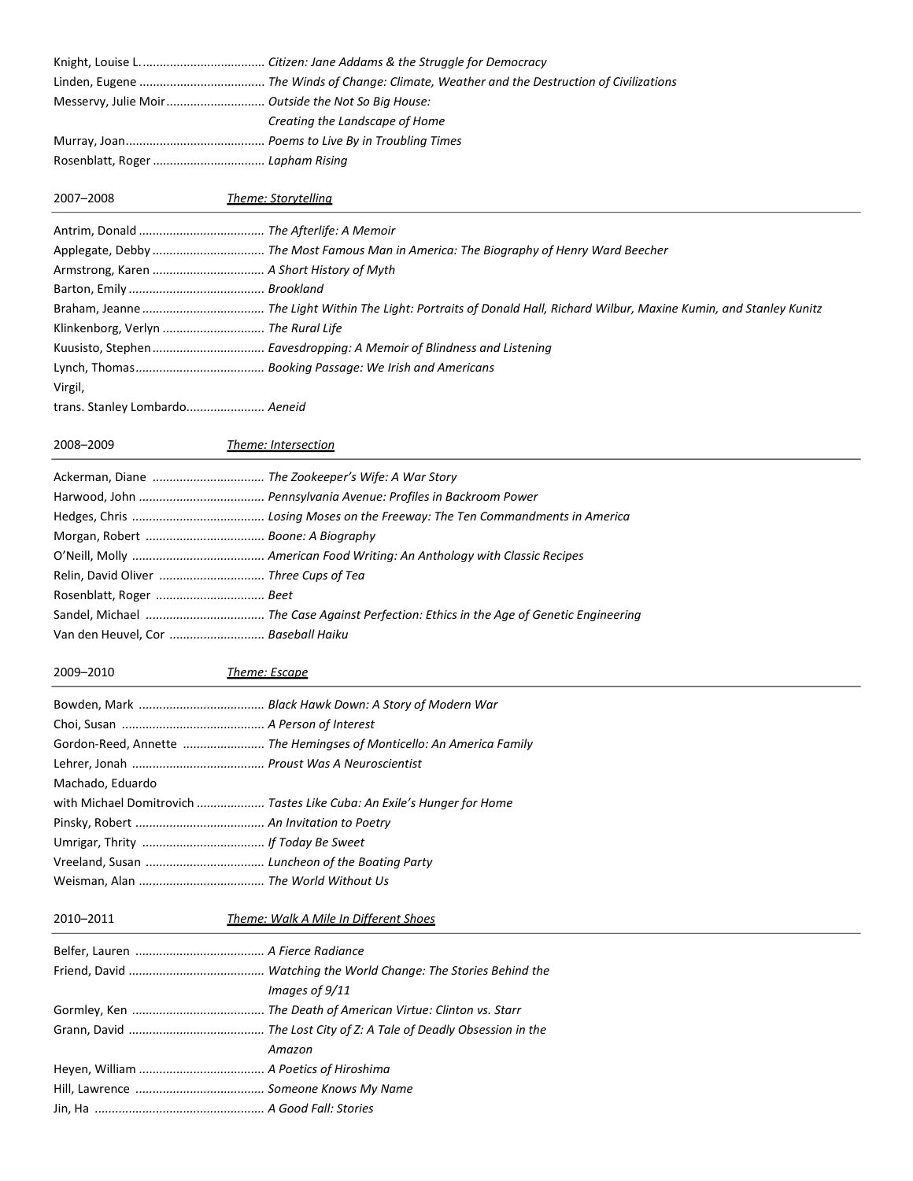| Creating the Landscape of Home |
|--------------------------------|
|                                |
|                                |

| 2007-2008                           | Theme: Storytelling |
|-------------------------------------|---------------------|
|                                     |                     |
|                                     |                     |
|                                     |                     |
|                                     |                     |
|                                     |                     |
| Klinkenborg, Verlyn  The Rural Life |                     |
|                                     |                     |
|                                     |                     |
| Virgil,                             |                     |
| trans. Stanley Lombardo Aeneid      |                     |

2008–2009 Theme: Intersection

| Van den Heuvel, Cor  Baseball Haiku |  |
|-------------------------------------|--|

| 2009-2010        | Theme: Escape                                                          |  |
|------------------|------------------------------------------------------------------------|--|
|                  |                                                                        |  |
|                  |                                                                        |  |
|                  | Gordon-Reed, Annette  The Hemingses of Monticello: An America Family   |  |
|                  |                                                                        |  |
| Machado, Eduardo |                                                                        |  |
|                  | with Michael Domitrovich  Tastes Like Cuba: An Exile's Hunger for Home |  |
|                  |                                                                        |  |
|                  |                                                                        |  |
|                  |                                                                        |  |
|                  |                                                                        |  |
| 2010-2011        | Theme: Walk A Mile In Different Shoes                                  |  |

| Images of 9/11 |
|----------------|
|                |
|                |
| Amazon         |
|                |
|                |
|                |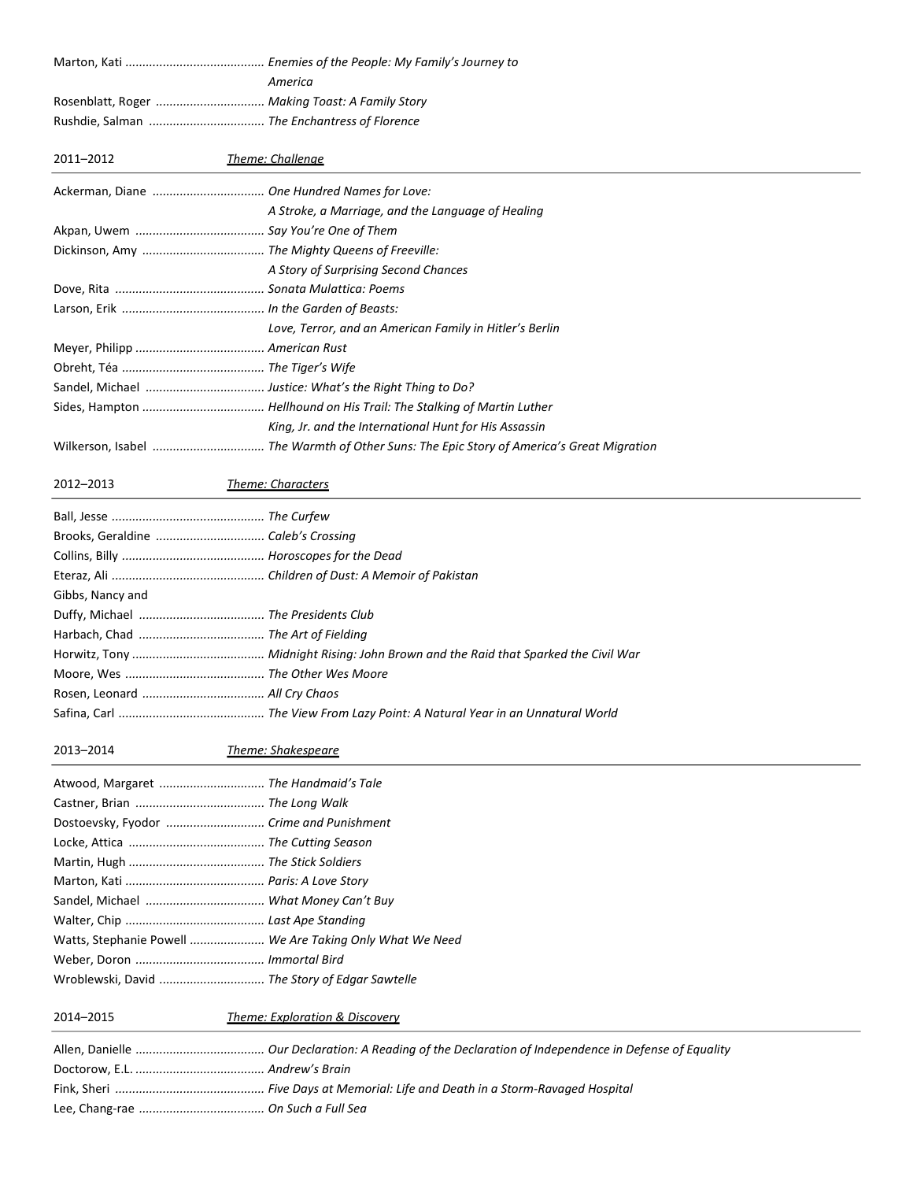|                                                | America                                                  |
|------------------------------------------------|----------------------------------------------------------|
|                                                | Rosenblatt, Roger  Making Toast: A Family Story          |
|                                                |                                                          |
|                                                |                                                          |
| 2011-2012                                      | <u>Theme: Challenge</u>                                  |
|                                                |                                                          |
|                                                | A Stroke, a Marriage, and the Language of Healing        |
|                                                |                                                          |
|                                                |                                                          |
|                                                | A Story of Surprising Second Chances                     |
|                                                |                                                          |
|                                                |                                                          |
|                                                | Love, Terror, and an American Family in Hitler's Berlin  |
|                                                |                                                          |
|                                                |                                                          |
|                                                |                                                          |
|                                                |                                                          |
|                                                | King, Jr. and the International Hunt for His Assassin    |
|                                                |                                                          |
| 2012-2013                                      | <b>Theme: Characters</b>                                 |
|                                                |                                                          |
| Brooks, Geraldine  Caleb's Crossing            |                                                          |
|                                                |                                                          |
|                                                |                                                          |
| Gibbs, Nancy and                               |                                                          |
|                                                |                                                          |
|                                                |                                                          |
|                                                |                                                          |
|                                                |                                                          |
|                                                |                                                          |
|                                                |                                                          |
| 2013-2014                                      | <b>Theme: Shakespeare</b>                                |
|                                                |                                                          |
|                                                |                                                          |
| Dostoevsky, Fyodor  Crime and Punishment       |                                                          |
|                                                |                                                          |
|                                                |                                                          |
|                                                |                                                          |
|                                                |                                                          |
|                                                |                                                          |
|                                                | Watts, Stephanie Powell  We Are Taking Only What We Need |
|                                                |                                                          |
| Wroblewski, David  The Story of Edgar Sawtelle |                                                          |
| 2014-2015                                      | <b>Theme: Exploration &amp; Discovery</b>                |
|                                                |                                                          |
|                                                |                                                          |
|                                                |                                                          |
|                                                |                                                          |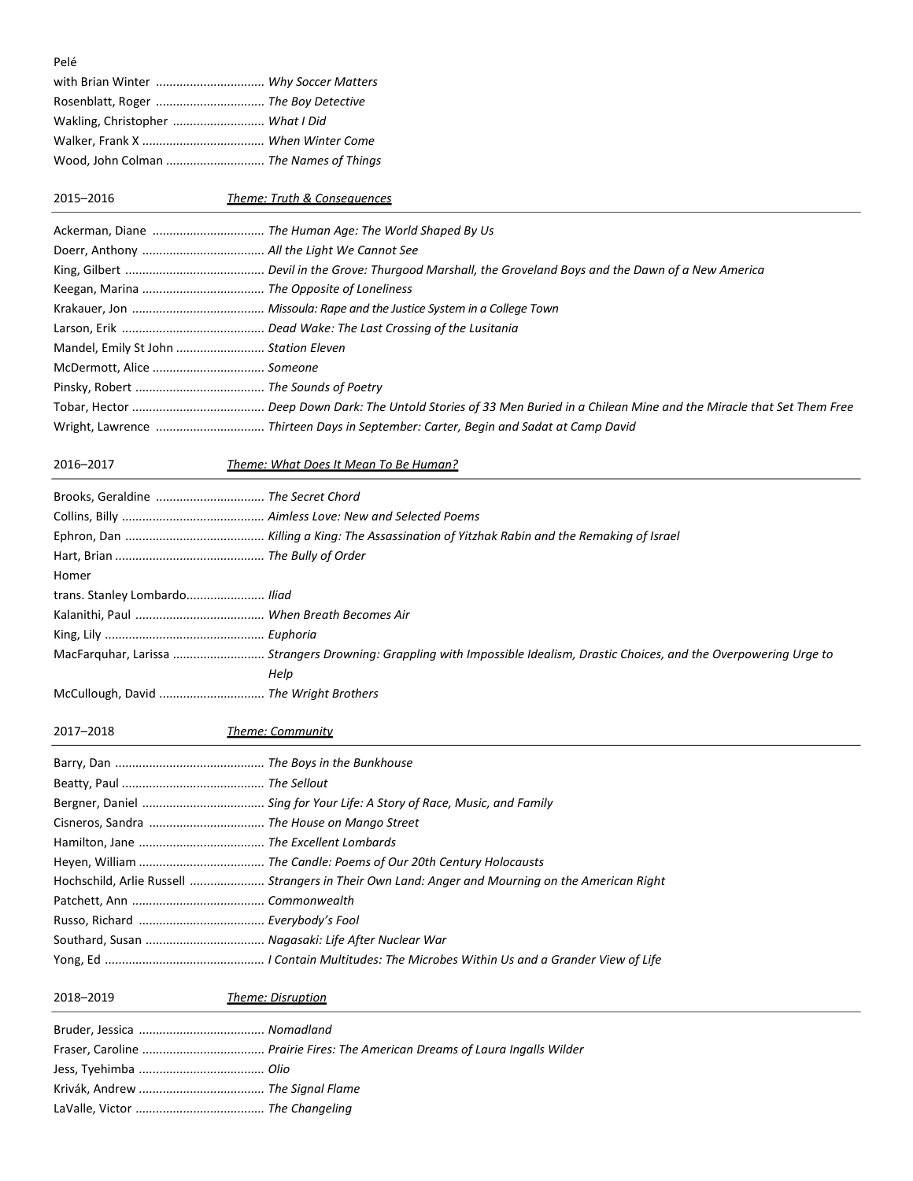| Pelé                                   |  |
|----------------------------------------|--|
|                                        |  |
|                                        |  |
| Wakling, Christopher  What I Did       |  |
|                                        |  |
| Wood, John Colman  The Names of Things |  |

| 2015-2016                             | Theme: Truth & Consequences |
|---------------------------------------|-----------------------------|
|                                       |                             |
|                                       |                             |
|                                       |                             |
|                                       |                             |
|                                       |                             |
|                                       |                             |
| Mandel, Emily St John  Station Eleven |                             |
| McDermott, Alice  Someone             |                             |
|                                       |                             |
|                                       |                             |
|                                       |                             |

| 2016-2017 |
|-----------|
|-----------|

#### Theme: What Does It Mean To Be Human?

| Homer |                                                                                                                             |
|-------|-----------------------------------------------------------------------------------------------------------------------------|
|       |                                                                                                                             |
|       |                                                                                                                             |
|       |                                                                                                                             |
|       | MacFarquhar, Larissa  Strangers Drowning: Grappling with Impossible Idealism, Drastic Choices, and the Overpowering Urge to |
|       | Help                                                                                                                        |
|       |                                                                                                                             |

| 2017-2018 | Theme: Community |  |        |   |  |  |  |  |  |
|-----------|------------------|--|--------|---|--|--|--|--|--|
| -         |                  |  | $\sim$ | . |  |  |  |  |  |

| Hochschild, Arlie Russell  Strangers in Their Own Land: Anger and Mourning on the American Right |
|--------------------------------------------------------------------------------------------------|
|                                                                                                  |
|                                                                                                  |
|                                                                                                  |
|                                                                                                  |

| 2018-2019 | Theme: Disruption |
|-----------|-------------------|
|           |                   |
|           |                   |
|           |                   |
|           |                   |
|           |                   |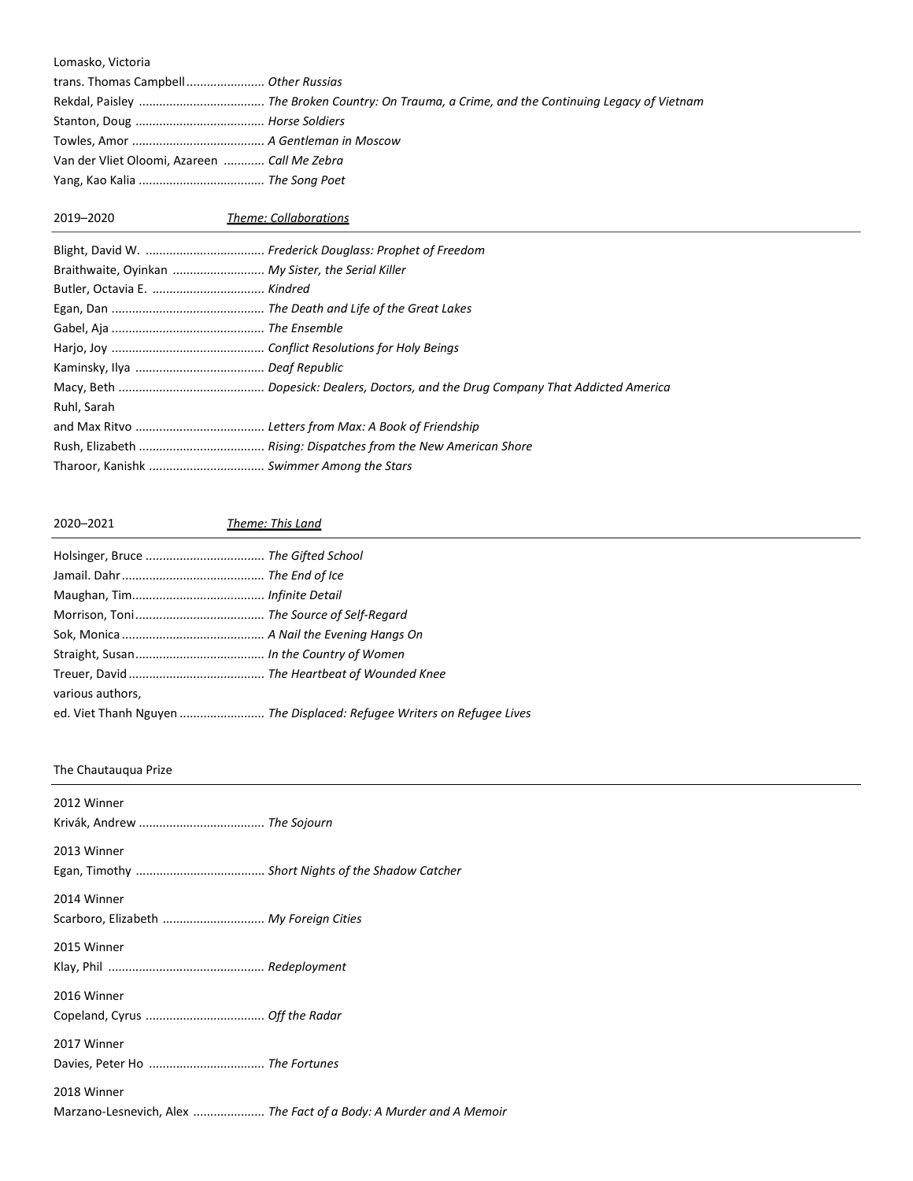| Lomasko, Victoria                            |  |
|----------------------------------------------|--|
|                                              |  |
|                                              |  |
|                                              |  |
|                                              |  |
| Van der Vliet Oloomi, Azareen  Call Me Zebra |  |
|                                              |  |

## 2019–2020 Theme: Collaborations

| Braithwaite, Oyinkan  My Sister, the Serial Killer |  |
|----------------------------------------------------|--|
|                                                    |  |
|                                                    |  |
|                                                    |  |
|                                                    |  |
|                                                    |  |
|                                                    |  |
| Ruhl, Sarah                                        |  |
|                                                    |  |
|                                                    |  |
|                                                    |  |

| 2020-2021        | Theme: This Land                                                       |  |
|------------------|------------------------------------------------------------------------|--|
|                  |                                                                        |  |
|                  |                                                                        |  |
|                  |                                                                        |  |
|                  |                                                                        |  |
|                  |                                                                        |  |
|                  |                                                                        |  |
|                  |                                                                        |  |
| various authors, |                                                                        |  |
|                  | ed. Viet Thanh Nguyen  The Displaced: Refugee Writers on Refugee Lives |  |

## The Chautauqua Prize

| 2012 Winner                                           |                                                                    |
|-------------------------------------------------------|--------------------------------------------------------------------|
| 2013 Winner                                           |                                                                    |
| 2014 Winner<br>Scarboro, Elizabeth  My Foreign Cities |                                                                    |
| 2015 Winner                                           |                                                                    |
| 2016 Winner                                           |                                                                    |
| 2017 Winner                                           |                                                                    |
| 2018 Winner                                           | Marzano-Lesnevich, Alex  The Fact of a Body: A Murder and A Memoir |